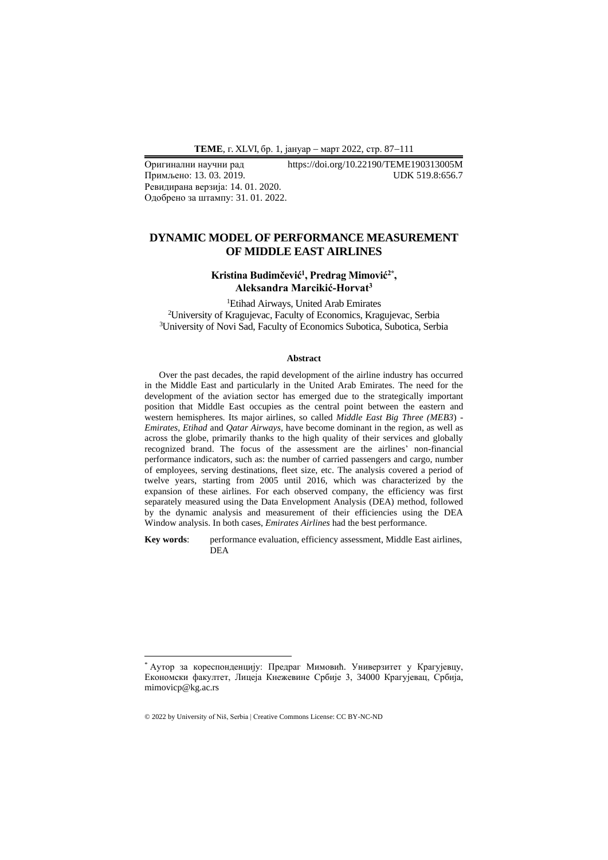Примљено: 13.03.2019. Ревидирана верзија: 14. 01. 2020. Одобрено за штампу: 31. 01. 2022.

# Оригинални научни рад https://doi.org/10.22190/TEME190313005M

# **DYNAMIC MODEL OF PERFORMANCE MEASUREMENT OF MIDDLE EAST AIRLINES**

## **Kristina Budimčević 1 , Predrag Mimović2\* , Aleksandra Marcikić-Horvat<sup>3</sup>**

<sup>1</sup>Etihad Airways, United Arab Emirates <sup>2</sup>University of Kragujevac, Faculty of Economics, Kragujevac, Serbia <sup>3</sup>University of Novi Sad, Faculty of Economics Subotica, Subotica, Serbia

#### **Abstract**

Over the past decades, the rapid development of the airline industry has occurred in the Middle East and particularly in the United Arab Emirates. The need for the development of the aviation sector has emerged due to the strategically important position that Middle East occupies as the central point between the eastern and western hemispheres. Its major airlines, so called *Middle East Big Three (MEB3*) - *Emirates, Etihad* and *Qatar Airways,* have become dominant in the region, as well as across the globe, primarily thanks to the high quality of their services and globally recognized brand. The focus of the assessment are the airlines' non-financial performance indicators, such as: the number of carried passengers and cargo, number of employees, serving destinations, fleet size, etc. The analysis covered a period of twelve years, starting from 2005 until 2016, which was characterized by the expansion of these airlines. For each observed company, the efficiency was first separately measured using the Data Envelopment Analysis (DEA) method, followed by the dynamic analysis and measurement of their efficiencies using the DEA Window analysis. In both cases, *Emirates Airlines* had the best performance.

**Key words**: performance evaluation, efficiency assessment, Middle East airlines, DEA

<sup>\*</sup> Аутор за кореспонденцију: Предраг Мимовић. Универзитет у Крагујевцу, Економски факултет, Лицеја Кнежевине Србије 3, 34000 Крагујевац, Србија, mimovicp@kg.ac.rs

<sup>© 2022</sup> by University of Niš, Serbia | Creative Commons License: CC BY-NC-ND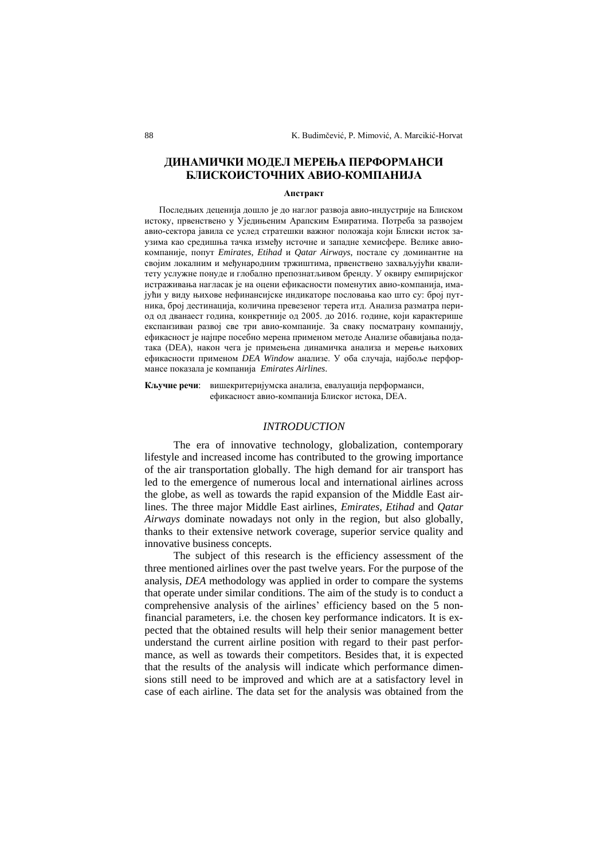# **ДИНАМИЧКИ МОДЕЛ МЕРЕЊА ПЕРФОРМАНСИ БЛИСКОИСТОЧНИХ АВИО-КОМПАНИЈА**

#### **Апстракт**

Последњих деценија дошло je до наглог развоја авио-индустрије на Блиском истоку, првенствено у Уједињеним Арапским Емиратима. Потреба за развојем авио-сектора јавила се услед стратешки важног положаја који Блиски исток заузима као средишња тачка између источне и западне хемисфере. Велике авиокомпаније, попут *Emirates*, *Etihad* и *Qatar Airways*, постале су доминантне на својим локалним и међународним тржиштима, првенствено захваљујући квалитету услужне понуде и глобално препознатљивом бренду. У оквиру емпиријског истраживања нагласак је на оцени ефикасности поменутих авио-компанија, имајући у виду њихове нефинансијске индикаторе пословања као што су: број путника, број дестинација, количина превезеног терета итд. Анализа разматра период од дванаест година, конкретније од 2005. до 2016. године, који карактерише експанзиван развој све три авио-компаније. За сваку посматрану компанију, ефикасност је најпре посебно мерена применом методе Анализе обавијања података (DEA), након чега је примењена динамичка анализа и мерење њихових ефикасности применом *DEA Window* анализе. У оба случаја, најбоље перформансе показала је компанија *Emirates Airlines*.

**Кључне речи**: вишекритеријумска анализа, евалуација перформанси, ефикасност авио-компанијa Блиског истока, DEA.

#### *INTRODUCTION*

The era of innovative technology, globalization, contemporary lifestyle and increased income has contributed to the growing importance of the air transportation globally. The high demand for air transport has led to the emergence of numerous local and international airlines across the globe, as well as towards the rapid expansion of the Middle East airlines. The three major Middle East airlines, *Emirates, Etihad* and *Qatar Airways* dominate nowadays not only in the region, but also globally, thanks to their extensive network coverage, superior service quality and innovative business concepts.

The subject of this research is the efficiency assessment of the three mentioned airlines over the past twelve years. For the purpose of the analysis, *DEA* methodology was applied in order to compare the systems that operate under similar conditions. The aim of the study is to conduct a comprehensive analysis of the airlines' efficiency based on the 5 nonfinancial parameters, i.e. the chosen key performance indicators. It is expected that the obtained results will help their senior management better understand the current airline position with regard to their past performance, as well as towards their competitors. Besides that, it is expected that the results of the analysis will indicate which performance dimensions still need to be improved and which are at a satisfactory level in case of each airline. The data set for the analysis was obtained from the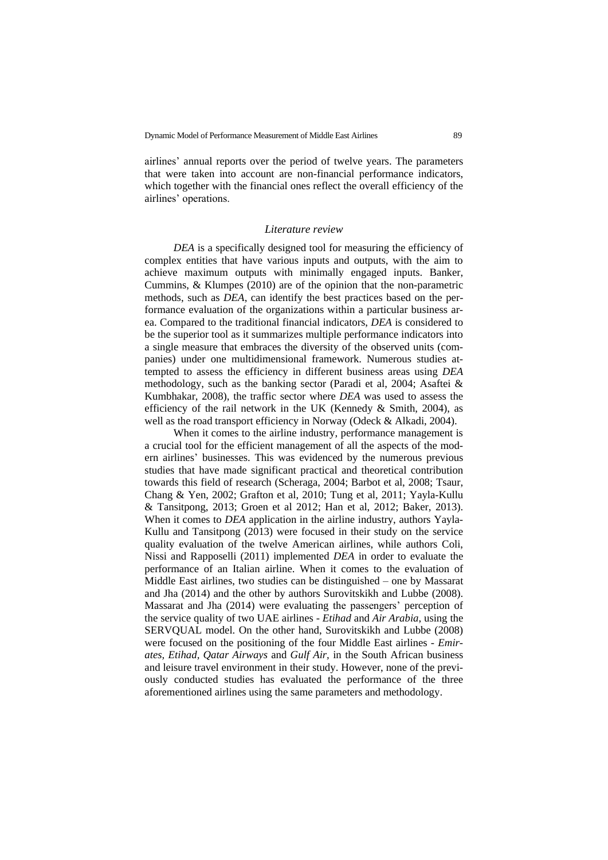airlines' annual reports over the period of twelve years. The parameters that were taken into account are non-financial performance indicators, which together with the financial ones reflect the overall efficiency of the airlines' operations.

#### *Literature review*

*DEA* is a specifically designed tool for measuring the efficiency of complex entities that have various inputs and outputs, with the aim to achieve maximum outputs with minimally engaged inputs. Banker, Cummins, & Klumpes (2010) are of the opinion that the non-parametric methods, such as *DEA*, can identify the best practices based on the performance evaluation of the organizations within a particular business area. Compared to the traditional financial indicators, *DEA* is considered to be the superior tool as it summarizes multiple performance indicators into a single measure that embraces the diversity of the observed units (companies) under one multidimensional framework. Numerous studies attempted to assess the efficiency in different business areas using *DEA* methodology, such as the banking sector (Paradi et al, 2004; Asaftei & Kumbhakar, 2008), the traffic sector where *DEA* was used to assess the efficiency of the rail network in the UK (Kennedy & Smith, 2004), as well as the road transport efficiency in Norway (Odeck & Alkadi, 2004).

When it comes to the airline industry, performance management is a crucial tool for the efficient management of all the aspects of the modern airlines' businesses. This was evidenced by the numerous previous studies that have made significant practical and theoretical contribution towards this field of research (Scheraga, 2004; Barbot et al, 2008; Tsaur, Chang & Yen, 2002; Grafton et al, 2010; Tung et al, 2011; Yayla-Kullu & Tansitpong, 2013; Groen et al 2012; Han et al, 2012; Baker, 2013). When it comes to *DEA* application in the airline industry, authors Yayla-Kullu and Tansitpong (2013) were focused in their study on the service quality evaluation of the twelve American airlines, while authors Coli, Nissi and Rapposelli (2011) implemented *DEA* in order to evaluate the performance of an Italian airline. When it comes to the evaluation of Middle East airlines, two studies can be distinguished – one by Massarat and Jha (2014) and the other by authors Surovitskikh and Lubbe (2008). Massarat and Jha (2014) were evaluating the passengers' perception of the service quality of two UAE airlines - *Etihad* and *Air Arabia*, using the SERVQUAL model. On the other hand, Surovitskikh and Lubbe (2008) were focused on the positioning of the four Middle East airlines - *Emirates, Etihad, Qatar Airways* and *Gulf Air,* in the South African business and leisure travel environment in their study. However, none of the previously conducted studies has evaluated the performance of the three aforementioned airlines using the same parameters and methodology.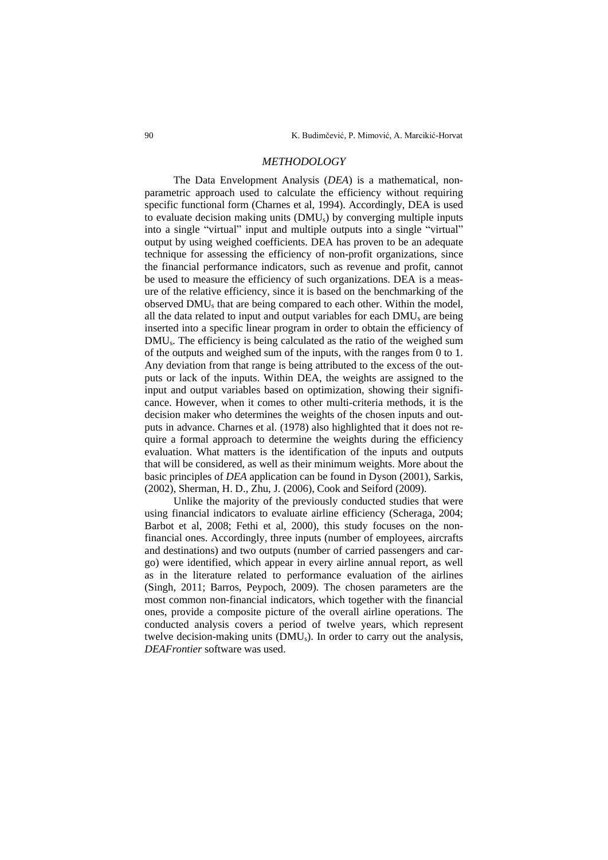#### *METHODOLOGY*

The Data Envelopment Analysis (*DEA*) is a mathematical, nonparametric approach used to calculate the efficiency without requiring specific functional form (Charnes et al, 1994). Accordingly, DEA is used to evaluate decision making units (DMUs) by converging multiple inputs into a single "virtual" input and multiple outputs into a single "virtual" output by using weighed coefficients. DEA has proven to be an adequate technique for assessing the efficiency of non-profit organizations, since the financial performance indicators, such as revenue and profit, cannot be used to measure the efficiency of such organizations. DEA is a measure of the relative efficiency, since it is based on the benchmarking of the observed DMU<sup>s</sup> that are being compared to each other. Within the model, all the data related to input and output variables for each DMU<sup>s</sup> are being inserted into a specific linear program in order to obtain the efficiency of DMUs. The efficiency is being calculated as the ratio of the weighed sum of the outputs and weighed sum of the inputs, with the ranges from 0 to 1. Any deviation from that range is being attributed to the excess of the outputs or lack of the inputs. Within DEA, the weights are assigned to the input and output variables based on optimization, showing their significance. However, when it comes to other multi-criteria methods, it is the decision maker who determines the weights of the chosen inputs and outputs in advance. Charnes et al. (1978) also highlighted that it does not require a formal approach to determine the weights during the efficiency evaluation. What matters is the identification of the inputs and outputs that will be considered, as well as their minimum weights. More about the basic principles of *DEA* application can be found in Dyson (2001), Sarkis, (2002), Sherman, H. D., Zhu, J. (2006), Cook and Seiford (2009).

Unlike the majority of the previously conducted studies that were using financial indicators to evaluate airline efficiency (Scheraga, 2004; Barbot et al, 2008; Fethi et al, 2000), this study focuses on the nonfinancial ones. Accordingly, three inputs (number of employees, aircrafts and destinations) and two outputs (number of carried passengers and cargo) were identified, which appear in every airline annual report, as well as in the literature related to performance evaluation of the airlines (Singh, 2011; Barros, Peypoch, 2009). The chosen parameters are the most common non-financial indicators, which together with the financial ones, provide a composite picture of the overall airline operations. The conducted analysis covers a period of twelve years, which represent twelve decision-making units (DMUs). In order to carry out the analysis, *DEAFrontier* software was used.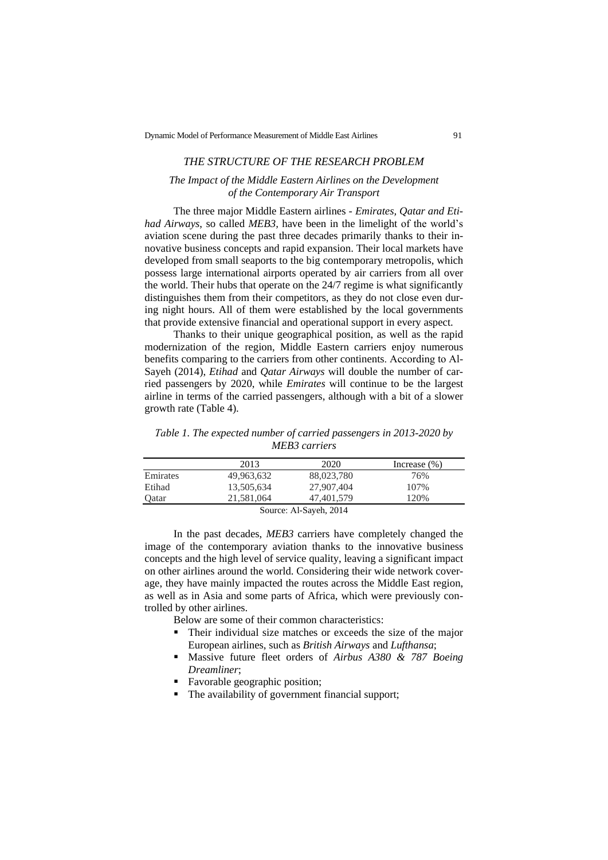# *THE STRUCTURE OF THE RESEARCH PROBLEM*

## *The Impact of the Middle Eastern Airlines on the Development of the Contemporary Air Transport*

The three major Middle Eastern airlines - *Emirates, Qatar and Etihad Airways*, so called *MEB3,* have been in the limelight of the world's aviation scene during the past three decades primarily thanks to their innovative business concepts and rapid expansion. Their local markets have developed from small seaports to the big contemporary metropolis, which possess large international airports operated by air carriers from all over the world. Their hubs that operate on the 24/7 regime is what significantly distinguishes them from their competitors, as they do not close even during night hours. All of them were established by the local governments that provide extensive financial and operational support in every aspect.

Thanks to their unique geographical position, as well as the rapid modernization of the region, Middle Eastern carriers enjoy numerous benefits comparing to the carriers from other continents. According to Аl-Sayeh (2014), *Etihad* and *Qatar Airways* will double the number of carried passengers by 2020, while *Emirates* will continue to be the largest airline in terms of the carried passengers, although with a bit of a slower growth rate (Table 4).

*Таble 1. The expected number of carried passengers in 2013-2020 by MEB3 carriers*

|                        | 2013       | 2020       | Increase $(\% )$ |  |  |  |
|------------------------|------------|------------|------------------|--|--|--|
| Emirates               | 49,963,632 | 88,023,780 | 76%              |  |  |  |
| Etihad                 | 13,505,634 | 27,907,404 | 107%             |  |  |  |
| Qatar                  | 21,581,064 | 47,401,579 | 120%             |  |  |  |
| Source: Al-Sayeh, 2014 |            |            |                  |  |  |  |

In the past decades, *MEB3* carriers have completely changed the image of the contemporary aviation thanks to the innovative business concepts and the high level of service quality, leaving a significant impact on other airlines around the world. Considering their wide network coverage, they have mainly impacted the routes across the Middle East region, as well as in Asia and some parts of Africa, which were previously controlled by other airlines.

Below are some of their common characteristics:

- Their individual size matches or exceeds the size of the major European airlines, such as *British Airways* and *Lufthansa*;
- Massive future fleet orders of *Airbus A380 & 787 Boeing Dreamliner*;
- Favorable geographic position;
- The availability of government financial support;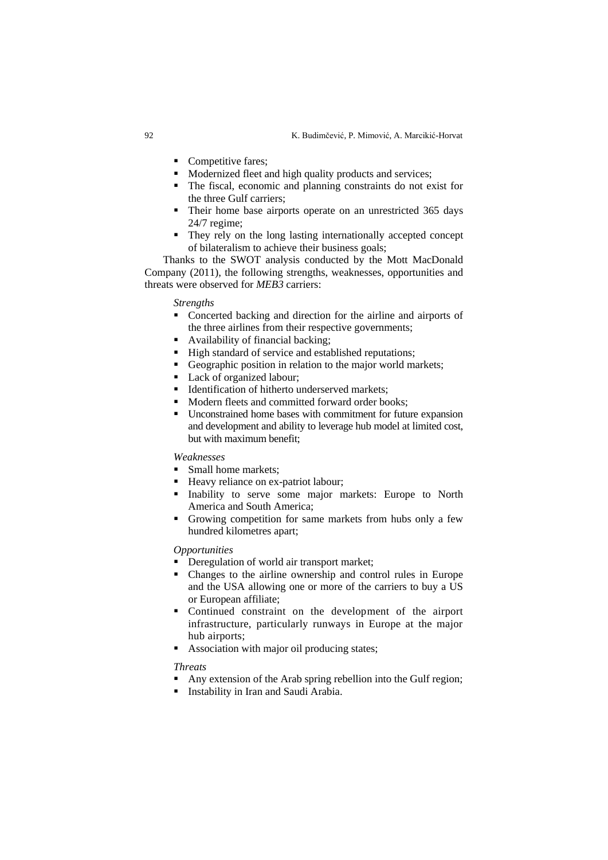- Competitive fares;
- Modernized fleet and high quality products and services;
- The fiscal, economic and planning constraints do not exist for the three Gulf carriers;
- Their home base airports operate on an unrestricted 365 days 24/7 regime;
- They rely on the long lasting internationally accepted concept of bilateralism to achieve their business goals;

Thanks to the SWOT analysis conducted by the Mott MacDonald Company (2011), the following strengths, weaknesses, opportunities and threats were observed for *MEB3* carriers:

*Strengths*

- Concerted backing and direction for the airline and airports of the three airlines from their respective governments;
- Availability of financial backing;
- High standard of service and established reputations;
- Geographic position in relation to the major world markets;
- Lack of organized labour;
- **•** Identification of hitherto underserved markets;
- Modern fleets and committed forward order books:
- Unconstrained home bases with commitment for future expansion and development and ability to leverage hub model at limited cost, but with maximum benefit;

#### *Weaknesses*

- Small home markets;<br>• Heavy reliance on ex-
- Heavy reliance on ex-patriot labour;
- Inability to serve some major markets: Europe to North America and South America;
- Growing competition for same markets from hubs only a few hundred kilometres apart;

#### *Opportunities*

- Deregulation of world air transport market;
- Changes to the airline ownership and control rules in Europe and the USA allowing one or more of the carriers to buy a US or European affiliate;
- Continued constraint on the development of the airport infrastructure, particularly runways in Europe at the major hub airports;
- Association with major oil producing states;

## *Threats*

- Any extension of the Arab spring rebellion into the Gulf region;
- Instability in Iran and Saudi Arabia.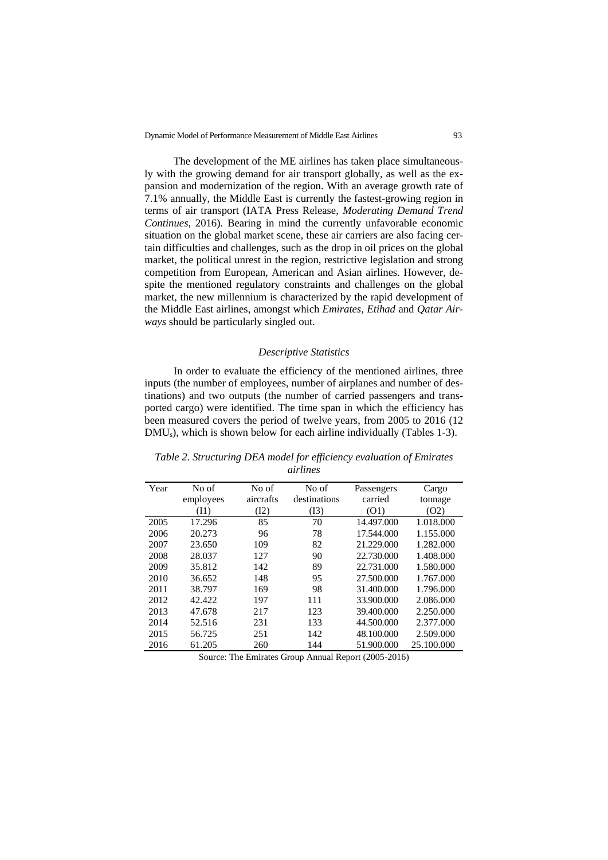The development of the ME airlines has taken place simultaneously with the growing demand for air transport globally, as well as the expansion and modernization of the region. With an average growth rate of 7.1% annually, the Middle East is currently the fastest-growing region in terms of air transport (IATA Press Release, *Moderating Demand Trend Continues*, 2016). Bearing in mind the currently unfavorable economic situation on the global market scene, these air carriers are also facing certain difficulties and challenges, such as the drop in oil prices on the global market, the political unrest in the region, restrictive legislation and strong competition from European, American and Asian airlines. However, despite the mentioned regulatory constraints and challenges on the global market, the new millennium is characterized by the rapid development of the Middle East airlines, amongst which *Emirates, Etihad* and *Qatar Airways* should be particularly singled out.

#### *Descriptive Statistics*

In order to evaluate the efficiency of the mentioned airlines, three inputs (the number of employees, number of airplanes and number of destinations) and two outputs (the number of carried passengers and transported cargo) were identified. The time span in which the efficiency has been measured covers the period of twelve years, from 2005 to 2016 (12 DMUs), which is shown below for each airline individually (Tables 1-3).

| Year | No of     | No of     | No of        | Passengers | Cargo      |
|------|-----------|-----------|--------------|------------|------------|
|      | employees | aircrafts | destinations | carried    | tonnage    |
|      | (I1)      | (I2)      | (I3)         | (01)       | (O2)       |
| 2005 | 17.296    | 85        | 70           | 14.497.000 | 1.018.000  |
| 2006 | 20.273    | 96        | 78           | 17.544.000 | 1.155.000  |
| 2007 | 23.650    | 109       | 82           | 21.229.000 | 1.282.000  |
| 2008 | 28.037    | 127       | 90           | 22.730.000 | 1.408.000  |
| 2009 | 35.812    | 142       | 89           | 22.731.000 | 1.580.000  |
| 2010 | 36.652    | 148       | 95           | 27.500.000 | 1.767.000  |
| 2011 | 38.797    | 169       | 98           | 31.400.000 | 1.796.000  |
| 2012 | 42.422    | 197       | 111          | 33.900.000 | 2.086.000  |
| 2013 | 47.678    | 217       | 123          | 39.400.000 | 2.250.000  |
| 2014 | 52.516    | 231       | 133          | 44.500.000 | 2.377.000  |
| 2015 | 56.725    | 251       | 142          | 48.100.000 | 2.509.000  |
| 2016 | 61.205    | 260       | 144          | 51.900.000 | 25.100.000 |

*Table 2. Structuring DEA model for efficiency evaluation of Emirates airlines*

Source: The Emirates Group Annual Report (2005-2016)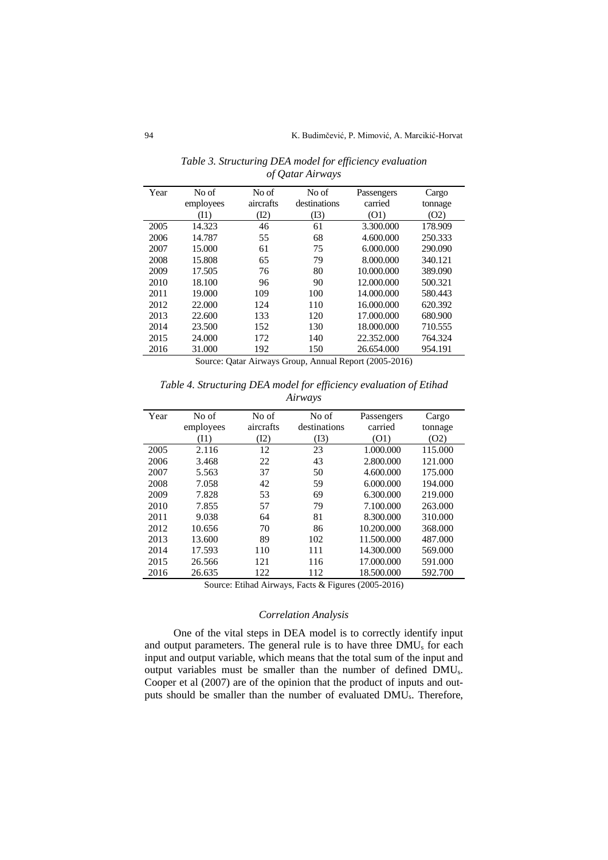| Year | No of     | No of     | No of        | Passengers | Cargo   |
|------|-----------|-----------|--------------|------------|---------|
|      | employees | aircrafts | destinations | carried    | tonnage |
|      | (11)      | (I2)      | (13)         | (O1)       | (O2)    |
| 2005 | 14.323    | 46        | 61           | 3.300.000  | 178.909 |
| 2006 | 14.787    | 55        | 68           | 4.600.000  | 250.333 |
| 2007 | 15.000    | 61        | 75           | 6.000.000  | 290.090 |
| 2008 | 15.808    | 65        | 79           | 8.000.000  | 340.121 |
| 2009 | 17.505    | 76        | 80           | 10.000.000 | 389.090 |
| 2010 | 18.100    | 96        | 90           | 12.000.000 | 500.321 |
| 2011 | 19.000    | 109       | 100          | 14.000.000 | 580.443 |
| 2012 | 22.000    | 124       | 110          | 16.000.000 | 620.392 |
| 2013 | 22.600    | 133       | 120          | 17.000.000 | 680.900 |
| 2014 | 23.500    | 152       | 130          | 18.000.000 | 710.555 |
| 2015 | 24.000    | 172       | 140          | 22.352.000 | 764.324 |
| 2016 | 31.000    | 192       | 150          | 26.654.000 | 954.191 |

*Table 3. Structuring DEA model for efficiency evaluation of Qatar Airways*

Source: Qatar Airways Group, Annual Report (2005-2016)

*Тable 4. Structuring DEA model for efficiency evaluation of Etihad Airways*

| Year | No of<br>employees | No of<br>aircrafts | No of<br>destinations | Passengers<br>carried | Cargo<br>tonnage |
|------|--------------------|--------------------|-----------------------|-----------------------|------------------|
|      | (I1)               | (I2)               | (I3)                  | (01)                  | (O2)             |
| 2005 | 2.116              | 12                 | 23                    | 1.000.000             | 115.000          |
| 2006 | 3.468              | 22                 | 43                    | 2.800.000             | 121.000          |
| 2007 | 5.563              | 37                 | 50                    | 4.600.000             | 175.000          |
| 2008 | 7.058              | 42                 | 59                    | 6.000.000             | 194,000          |
| 2009 | 7.828              | 53                 | 69                    | 6.300.000             | 219.000          |
| 2010 | 7.855              | 57                 | 79                    | 7.100.000             | 263.000          |
| 2011 | 9.038              | 64                 | 81                    | 8.300.000             | 310.000          |
| 2012 | 10.656             | 70                 | 86                    | 10.200.000            | 368.000          |
| 2013 | 13.600             | 89                 | 102                   | 11.500.000            | 487.000          |
| 2014 | 17.593             | 110                | 111                   | 14.300.000            | 569.000          |
| 2015 | 26.566             | 121                | 116                   | 17.000.000            | 591.000          |
| 2016 | 26.635             | 122                | 112                   | 18.500.000            | 592.700          |

Source: Etihad Airways, Facts & Figures (2005-2016)

# *Correlation Analysis*

One of the vital steps in DEA model is to correctly identify input and output parameters. The general rule is to have three DMU<sup>s</sup> for each input and output variable, which means that the total sum of the input and output variables must be smaller than the number of defined DMUs. Cooper et al (2007) are of the opinion that the product of inputs and outputs should be smaller than the number of evaluated DMUs. Therefore,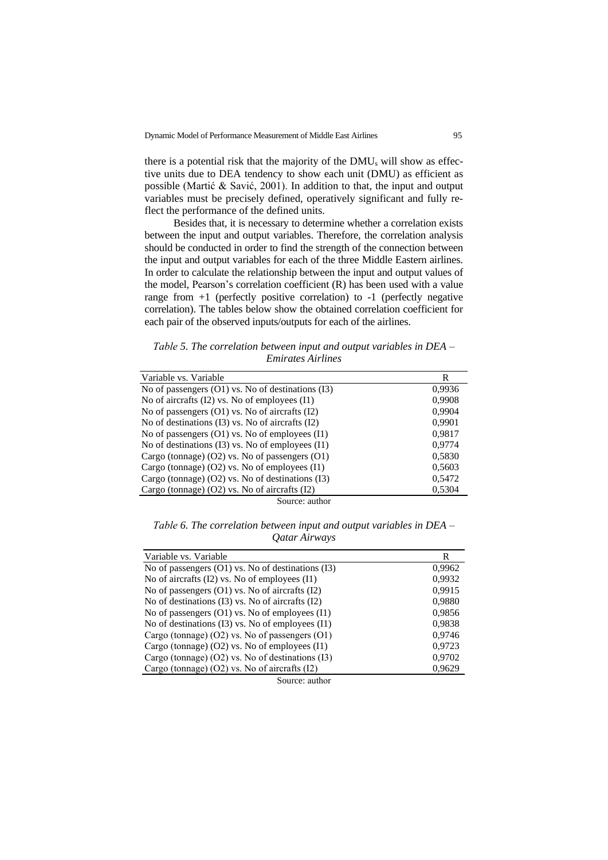there is a potential risk that the majority of the DMU<sup>s</sup> will show as effective units due to DEA tendency to show each unit (DMU) as efficient as possible (Маrtić & Savić, 2001). In addition to that, the input and output variables must be precisely defined, operatively significant and fully reflect the performance of the defined units.

Besides that, it is necessary to determine whether a correlation exists between the input and output variables. Therefore, the correlation analysis should be conducted in order to find the strength of the connection between the input and output variables for each of the three Middle Eastern airlines. In order to calculate the relationship between the input and output values of the model, Pearson's correlation coefficient (R) has been used with a value range from  $+1$  (perfectly positive correlation) to  $-1$  (perfectly negative correlation). The tables below show the obtained correlation coefficient for each pair of the observed inputs/outputs for each of the airlines.

*Таble 5. The correlation between input and output variables in DEA – Emirates Airlines*

| Variable vs. Variable                              | R      |
|----------------------------------------------------|--------|
| No of passengers (O1) vs. No of destinations (I3)  | 0,9936 |
| No of aircrafts (I2) vs. No of employees (I1)      | 0,9908 |
| No of passengers $(01)$ vs. No of aircrafts $(12)$ | 0,9904 |
| No of destinations (I3) vs. No of aircrafts (I2)   | 0,9901 |
| No of passengers (O1) vs. No of employees (I1)     | 0,9817 |
| No of destinations (I3) vs. No of employees (I1)   | 0,9774 |
| Cargo (tonnage) $(O2)$ vs. No of passengers $(O1)$ | 0,5830 |
| Cargo (tonnage) $(O2)$ vs. No of employees $(11)$  | 0,5603 |
| Cargo (tonnage) (O2) vs. No of destinations (I3)   | 0,5472 |
| Cargo (tonnage) (O2) vs. No of aircrafts (I2)      | 0,5304 |
|                                                    |        |

Source: author

*Таble 6. The correlation between input and output variables in DEA – Qatar Airways*

| Variable vs. Variable                                 | R      |
|-------------------------------------------------------|--------|
| No of passengers $(01)$ vs. No of destinations $(13)$ | 0.9962 |
| No of aircrafts (I2) vs. No of employees (I1)         | 0,9932 |
| No of passengers $(01)$ vs. No of aircrafts $(12)$    | 0,9915 |
| No of destinations (I3) vs. No of aircrafts (I2)      | 0,9880 |
| No of passengers (O1) vs. No of employees (I1)        | 0,9856 |
| No of destinations (I3) vs. No of employees (I1)      | 0,9838 |
| Cargo (tonnage) $(O2)$ vs. No of passengers $(O1)$    | 0,9746 |
| Cargo (tonnage) $(O2)$ vs. No of employees $(I1)$     | 0,9723 |
| Cargo (tonnage) (O2) vs. No of destinations (I3)      | 0,9702 |
| Cargo (tonnage) $(O2)$ vs. No of aircrafts $(I2)$     | 0,9629 |

Source: аuthor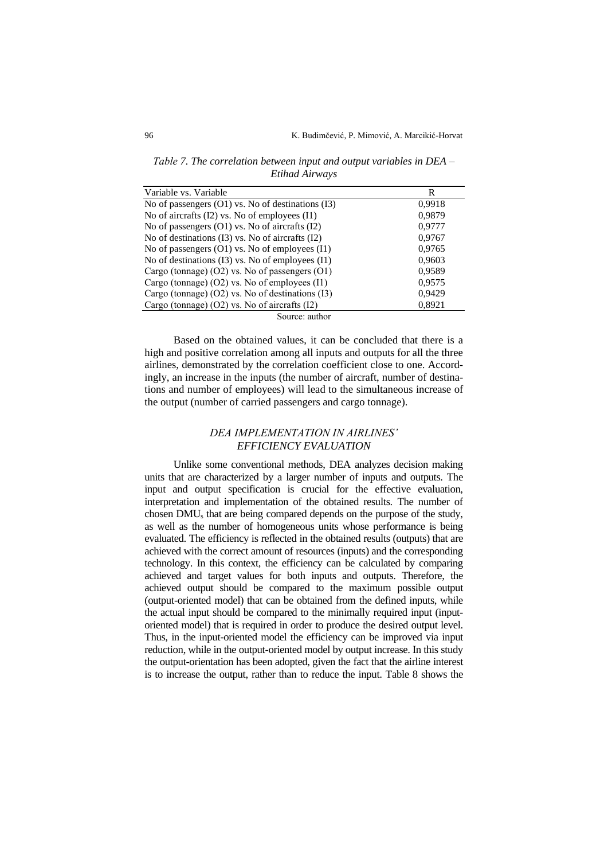*Таble 7. The correlation between input and output variables in DEA – Etihad Airways*

| Variable vs. Variable                                 | R      |
|-------------------------------------------------------|--------|
| No of passengers $(O1)$ vs. No of destinations $(I3)$ | 0,9918 |
| No of aircrafts (I2) vs. No of employees (I1)         | 0,9879 |
| No of passengers (O1) vs. No of aircrafts (I2)        | 0,9777 |
| No of destinations (I3) vs. No of aircrafts (I2)      | 0,9767 |
| No of passengers (O1) vs. No of employees (I1)        | 0,9765 |
| No of destinations (I3) vs. No of employees (I1)      | 0,9603 |
| Cargo (tonnage) $(O2)$ vs. No of passengers $(O1)$    | 0,9589 |
| Cargo (tonnage) (O2) vs. No of employees (I1)         | 0,9575 |
| Cargo (tonnage) (O2) vs. No of destinations (I3)      | 0,9429 |
| Cargo (tonnage) (O2) vs. No of aircrafts (I2)         | 0,8921 |
| Source: author                                        |        |

Based on the obtained values, it can be concluded that there is a high and positive correlation among all inputs and outputs for all the three airlines, demonstrated by the correlation coefficient close to one. Accordingly, an increase in the inputs (the number of aircraft, number of destinations and number of employees) will lead to the simultaneous increase of the output (number of carried passengers and cargo tonnage).

# *DEA IMPLEMENTATION IN AIRLINES' EFFICIENCY EVALUATION*

Unlike some conventional methods, DEA analyzes decision making units that are characterized by a larger number of inputs and outputs. The input and output specification is crucial for the effective evaluation, interpretation and implementation of the obtained results. The number of chosen DMU<sup>s</sup> that are being compared depends on the purpose of the study, as well as the number of homogeneous units whose performance is being evaluated. The efficiency is reflected in the obtained results (outputs) that are achieved with the correct amount of resources (inputs) and the corresponding technology. In this context, the efficiency can be calculated by comparing achieved and target values for both inputs and outputs. Therefore, the achieved output should be compared to the maximum possible output (output-oriented model) that can be obtained from the defined inputs, while the actual input should be compared to the minimally required input (inputoriented model) that is required in order to produce the desired output level. Thus, in the input-oriented model the efficiency can be improved via input reduction, while in the output-oriented model by output increase. In this study the output-orientation has been adopted, given the fact that the airline interest is to increase the output, rather than to reduce the input. Table 8 shows the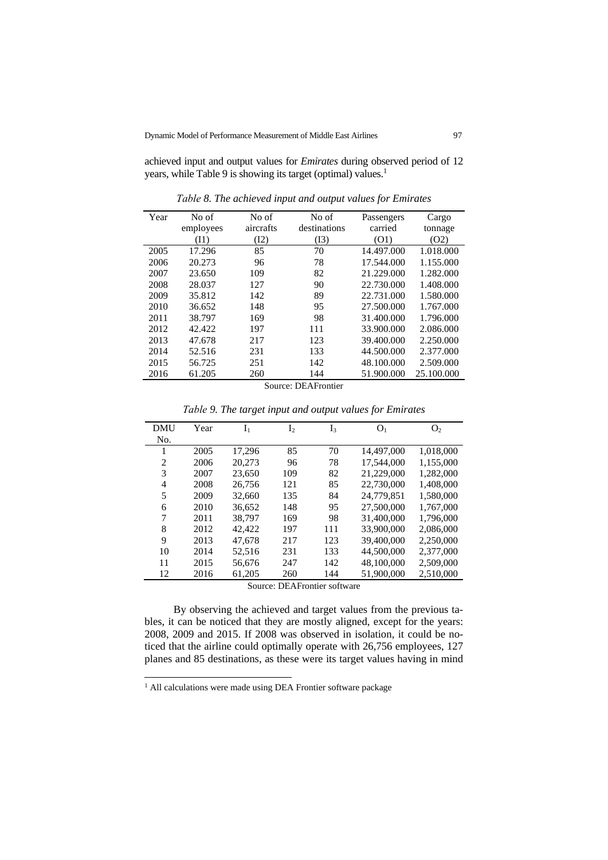achieved input and output values for *Emirates* during observed period of 12 years, while Table 9 is showing its target (optimal) values.<sup>1</sup>

| Year | No of     | No of     | No of        | Passengers | Cargo      |
|------|-----------|-----------|--------------|------------|------------|
|      | employees | aircrafts | destinations | carried    | tonnage    |
|      | (11)      | (I2)      | (I3)         | (01)       | (O2)       |
| 2005 | 17.296    | 85        | 70           | 14.497.000 | 1.018.000  |
| 2006 | 20.273    | 96        | 78           | 17.544.000 | 1.155.000  |
| 2007 | 23.650    | 109       | 82           | 21.229.000 | 1.282.000  |
| 2008 | 28.037    | 127       | 90           | 22.730.000 | 1.408.000  |
| 2009 | 35.812    | 142       | 89           | 22,731,000 | 1.580.000  |
| 2010 | 36.652    | 148       | 95           | 27.500.000 | 1.767.000  |
| 2011 | 38.797    | 169       | 98           | 31.400.000 | 1.796.000  |
| 2012 | 42.422    | 197       | 111          | 33.900.000 | 2.086.000  |
| 2013 | 47.678    | 217       | 123          | 39.400.000 | 2.250.000  |
| 2014 | 52.516    | 231       | 133          | 44.500.000 | 2.377.000  |
| 2015 | 56.725    | 251       | 142          | 48.100.000 | 2.509.000  |
| 2016 | 61.205    | 260       | 144          | 51.900.000 | 25.100.000 |

*Таble 8. The achieved input and output values for Emirates*

Source: DEAFrontier

| <b>DMU</b>     | Year | ${\rm I}_1$ | I <sub>2</sub> | $I_3$ | O <sub>1</sub> | O <sub>2</sub> |
|----------------|------|-------------|----------------|-------|----------------|----------------|
| No.            |      |             |                |       |                |                |
| 1              | 2005 | 17,296      | 85             | 70    | 14,497,000     | 1,018,000      |
| $\overline{2}$ | 2006 | 20,273      | 96             | 78    | 17.544.000     | 1,155,000      |
| 3              | 2007 | 23,650      | 109            | 82    | 21,229,000     | 1,282,000      |
| 4              | 2008 | 26,756      | 121            | 85    | 22,730,000     | 1,408,000      |
| 5              | 2009 | 32,660      | 135            | 84    | 24.779.851     | 1.580,000      |
| 6              | 2010 | 36.652      | 148            | 95    | 27,500,000     | 1.767,000      |
| 7              | 2011 | 38,797      | 169            | 98    | 31,400,000     | 1,796,000      |
| 8              | 2012 | 42.422      | 197            | 111   | 33,900,000     | 2.086,000      |
| 9              | 2013 | 47,678      | 217            | 123   | 39,400,000     | 2,250,000      |
| 10             | 2014 | 52,516      | 231            | 133   | 44,500,000     | 2,377,000      |
| 11             | 2015 | 56,676      | 247            | 142   | 48,100,000     | 2,509,000      |
| 12             | 2016 | 61,205      | 260            | 144   | 51,900,000     | 2,510,000      |

*Таble 9. The target input and output values for Emirates*

Source: DEAFrontier software

By observing the achieved and target values from the previous tables, it can be noticed that they are mostly aligned, except for the years: 2008, 2009 and 2015. If 2008 was observed in isolation, it could be noticed that the airline could optimally operate with 26,756 employees, 127 planes and 85 destinations, as these were its target values having in mind

<sup>&</sup>lt;sup>1</sup> All calculations were made using DEA Frontier software package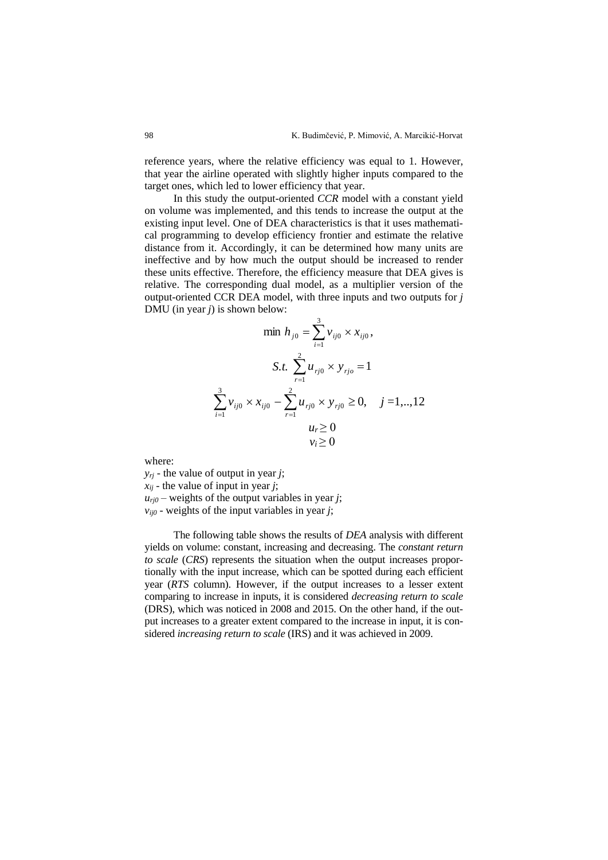reference years, where the relative efficiency was equal to 1. However, that year the airline operated with slightly higher inputs compared to the target ones, which led to lower efficiency that year.

In this study the output-oriented *CCR* model with a constant yield on volume was implemented, and this tends to increase the output at the existing input level. One of DEA characteristics is that it uses mathematical programming to develop efficiency frontier and estimate the relative distance from it. Accordingly, it can be determined how many units are ineffective and by how much the output should be increased to render these units effective. Therefore, the efficiency measure that DEA gives is relative. The corresponding dual model, as a multiplier version of the output-oriented CCR DEA model, with three inputs and two outputs for *j* DMU (in year *j*) is shown below:

$$
\min h_{j0} = \sum_{i=1}^{3} v_{ij0} \times x_{ij0},
$$
  

$$
S.t. \sum_{r=1}^{2} u_{rj0} \times y_{rj0} = 1
$$
  

$$
\sum_{i=1}^{3} v_{ij0} \times x_{ij0} - \sum_{r=1}^{2} u_{rj0} \times y_{rj0} \ge 0, \quad j = 1, ..., 12
$$
  

$$
u_r \ge 0
$$
  

$$
v_i \ge 0
$$

where:

*yrj* - the value of output in year *j*;  $x_{ij}$  - the value of input in year *j*;  $u_{ri0}$  – weights of the output variables in year *j*;  $v_{ij0}$  - weights of the input variables in year *j*;

The following table shows the results of *DEA* analysis with different yields on volume: constant, increasing and decreasing. The *constant return to scale* (*CRS*) represents the situation when the output increases proportionally with the input increase, which can be spotted during each efficient year (*RTS* column). However, if the output increases to a lesser extent comparing to increase in inputs, it is considered *decreasing return to scale* (DRS), which was noticed in 2008 and 2015. On the other hand, if the output increases to a greater extent compared to the increase in input, it is considered *increasing return to scale* (IRS) and it was achieved in 2009.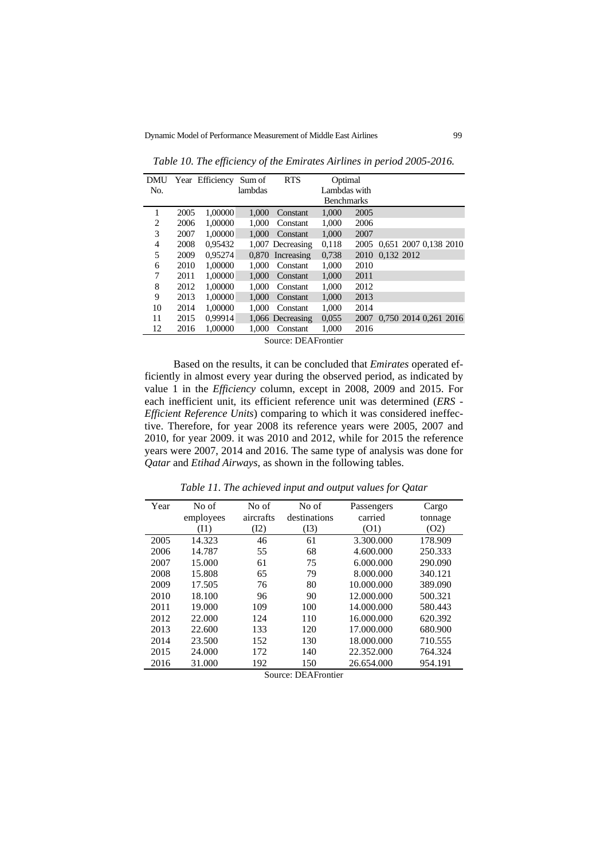| DMU            |      | Year Efficiency | Sum of  | <b>RTS</b>                 | Optimal           |      |                            |  |  |
|----------------|------|-----------------|---------|----------------------------|-------------------|------|----------------------------|--|--|
| No.            |      |                 | lambdas |                            | Lambdas with      |      |                            |  |  |
|                |      |                 |         |                            | <b>Benchmarks</b> |      |                            |  |  |
|                | 2005 | 1,00000         | 1.000   | Constant                   | 1.000             | 2005 |                            |  |  |
| $\overline{c}$ | 2006 | 1,00000         | 1.000   | Constant                   | 1.000             | 2006 |                            |  |  |
| 3              | 2007 | 1,00000         | 1.000   | Constant                   | 1,000             | 2007 |                            |  |  |
| 4              | 2008 | 0.95432         |         | 1,007 Decreasing           | 0,118             |      | 2005 0.651 2007 0.138 2010 |  |  |
| 5              | 2009 | 0.95274         |         | 0.870 Increasing           | 0,738             |      | 2010 0.132 2012            |  |  |
| 6              | 2010 | 1,00000         | 1.000   | Constant                   | 1,000             | 2010 |                            |  |  |
| 7              | 2011 | 1,00000         | 1.000   | Constant                   | 1,000             | 2011 |                            |  |  |
| 8              | 2012 | 1,00000         | 1.000   | Constant                   | 1,000             | 2012 |                            |  |  |
| 9              | 2013 | 1,00000         | 1.000   | Constant                   | 1,000             | 2013 |                            |  |  |
| 10             | 2014 | 1,00000         | 1.000   | Constant                   | 1.000             | 2014 |                            |  |  |
| 11             | 2015 | 0.99914         |         | 1,066 Decreasing           | 0,055             |      | 2007 0.750 2014 0.261 2016 |  |  |
| 12             | 2016 | 1,00000         | 1.000   | Constant                   | 1,000             | 2016 |                            |  |  |
|                |      |                 |         | $C_{\text{source}}$ , DEAE |                   |      |                            |  |  |

*Table 10. The efficiency of the Emirates Airlines in period 2005-2016.*

Source: DEAFrontier

Based on the results, it can be concluded that *Emirates* operated efficiently in almost every year during the observed period, as indicated by value 1 in the *Efficiency* column, except in 2008, 2009 and 2015. For each inefficient unit, its efficient reference unit was determined (*ERS* - *Efficient Reference Units*) comparing to which it was considered ineffective. Therefore, for year 2008 its reference years were 2005, 2007 and 2010, for year 2009. it was 2010 and 2012, while for 2015 the reference years were 2007, 2014 and 2016. The same type of analysis was done for *Qatar* and *Etihad Airways*, as shown in the following tables.

| Year | No of<br>employees<br>(I1) | No of<br>aircrafts<br>(I2) | No of<br>destinations<br>(I3) | Passengers<br>carried<br>(01) | Cargo<br>tonnage<br>(O2) |
|------|----------------------------|----------------------------|-------------------------------|-------------------------------|--------------------------|
| 2005 | 14.323                     | 46                         | 61                            | 3.300.000                     | 178.909                  |
| 2006 | 14.787                     | 55                         | 68                            | 4.600.000                     | 250.333                  |
| 2007 | 15.000                     | 61                         | 75                            | 6.000.000                     | 290.090                  |
| 2008 | 15.808                     | 65                         | 79                            | 8.000.000                     | 340.121                  |
| 2009 | 17.505                     | 76                         | 80                            | 10.000.000                    | 389.090                  |
| 2010 | 18.100                     | 96                         | 90                            | 12.000.000                    | 500.321                  |
| 2011 | 19.000                     | 109                        | 100                           | 14.000.000                    | 580.443                  |
| 2012 | 22.000                     | 124                        | 110                           | 16.000.000                    | 620.392                  |
| 2013 | 22.600                     | 133                        | 120                           | 17.000.000                    | 680.900                  |
| 2014 | 23.500                     | 152                        | 130                           | 18.000.000                    | 710.555                  |
| 2015 | 24.000                     | 172                        | 140                           | 22.352.000                    | 764.324                  |
| 2016 | 31.000                     | 192                        | 150                           | 26.654.000                    | 954.191                  |

*Table 11. The achieved input and output values for Qatar*

Source: DEAFrontier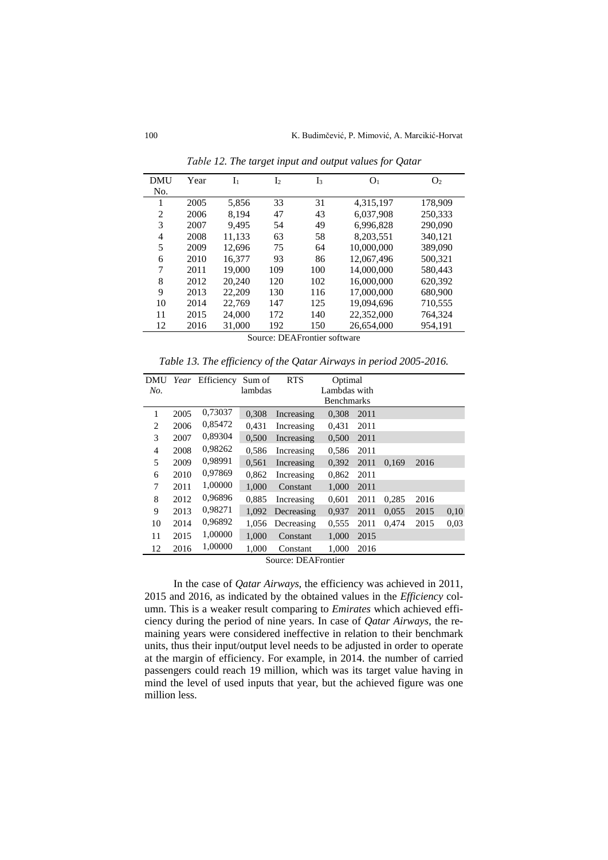| <b>DMU</b> | Year                         | $I_{1}$ | I <sub>2</sub> | $I_3$ | O <sub>1</sub> | O <sub>2</sub> |  |  |  |  |
|------------|------------------------------|---------|----------------|-------|----------------|----------------|--|--|--|--|
| No.        |                              |         |                |       |                |                |  |  |  |  |
| 1          | 2005                         | 5,856   | 33             | 31    | 4,315,197      | 178,909        |  |  |  |  |
| 2          | 2006                         | 8.194   | 47             | 43    | 6.037.908      | 250,333        |  |  |  |  |
| 3          | 2007                         | 9,495   | 54             | 49    | 6,996,828      | 290,090        |  |  |  |  |
| 4          | 2008                         | 11,133  | 63             | 58    | 8,203,551      | 340,121        |  |  |  |  |
| 5          | 2009                         | 12.696  | 75             | 64    | 10,000,000     | 389,090        |  |  |  |  |
| 6          | 2010                         | 16.377  | 93             | 86    | 12,067,496     | 500,321        |  |  |  |  |
| 7          | 2011                         | 19.000  | 109            | 100   | 14,000,000     | 580,443        |  |  |  |  |
| 8          | 2012                         | 20.240  | 120            | 102   | 16,000,000     | 620,392        |  |  |  |  |
| 9          | 2013                         | 22,209  | 130            | 116   | 17,000,000     | 680,900        |  |  |  |  |
| 10         | 2014                         | 22.769  | 147            | 125   | 19,094,696     | 710,555        |  |  |  |  |
| 11         | 2015                         | 24,000  | 172            | 140   | 22,352,000     | 764,324        |  |  |  |  |
| 12         | 2016                         | 31,000  | 192            | 150   | 26,654,000     | 954,191        |  |  |  |  |
|            | Source: DEAFrontier software |         |                |       |                |                |  |  |  |  |

*Таble 12. The target input and output values for Qatar*

*Table 13. The efficiency of the Qatar Airways in period 2005-2016.*

| DMU |      | Year Efficiency | Sum of  | <b>RTS</b>                                     | Optimal           |      |       |      |      |
|-----|------|-----------------|---------|------------------------------------------------|-------------------|------|-------|------|------|
| No. |      |                 | lambdas |                                                | Lambdas with      |      |       |      |      |
|     |      |                 |         |                                                | <b>Benchmarks</b> |      |       |      |      |
| 1   | 2005 | 0,73037         | 0,308   | Increasing                                     | 0,308             | 2011 |       |      |      |
| 2   | 2006 | 0,85472         | 0.431   | Increasing                                     | 0.431             | 2011 |       |      |      |
| 3   | 2007 | 0,89304         | 0.500   | Increasing                                     | 0,500             | 2011 |       |      |      |
| 4   | 2008 | 0,98262         | 0,586   | Increasing                                     | 0,586             | 2011 |       |      |      |
| 5   | 2009 | 0,98991         | 0,561   | Increasing                                     | 0,392             | 2011 | 0,169 | 2016 |      |
| 6   | 2010 | 0,97869         | 0,862   | Increasing                                     | 0,862             | 2011 |       |      |      |
| 7   | 2011 | 1,00000         | 1,000   | Constant                                       | 1,000             | 2011 |       |      |      |
| 8   | 2012 | 0,96896         | 0.885   | Increasing                                     | 0,601             | 2011 | 0,285 | 2016 |      |
| 9   | 2013 | 0,98271         | 1.092   | Decreasing                                     | 0,937             | 2011 | 0,055 | 2015 | 0,10 |
| 10  | 2014 | 0,96892         | 1.056   | Decreasing                                     | 0,555             | 2011 | 0.474 | 2015 | 0.03 |
| 11  | 2015 | 1,00000         | 1.000   | Constant                                       | 1,000             | 2015 |       |      |      |
| 12  | 2016 | 1,00000         | 1.000   | Constant                                       | 1.000             | 2016 |       |      |      |
|     |      |                 |         | $C_{\text{out}} \cap E \wedge E_{\text{cont}}$ |                   |      |       |      |      |

Source: DEAFrontier

In the case of *Qatar Airways*, the efficiency was achieved in 2011, 2015 and 2016, as indicated by the obtained values in the *Efficiency* column. This is a weaker result comparing to *Emirates* which achieved efficiency during the period of nine years. In case of *Qatar Airways*, the remaining years were considered ineffective in relation to their benchmark units, thus their input/output level needs to be adjusted in order to operate at the margin of efficiency. For example, in 2014. the number of carried passengers could reach 19 million, which was its target value having in mind the level of used inputs that year, but the achieved figure was one million less.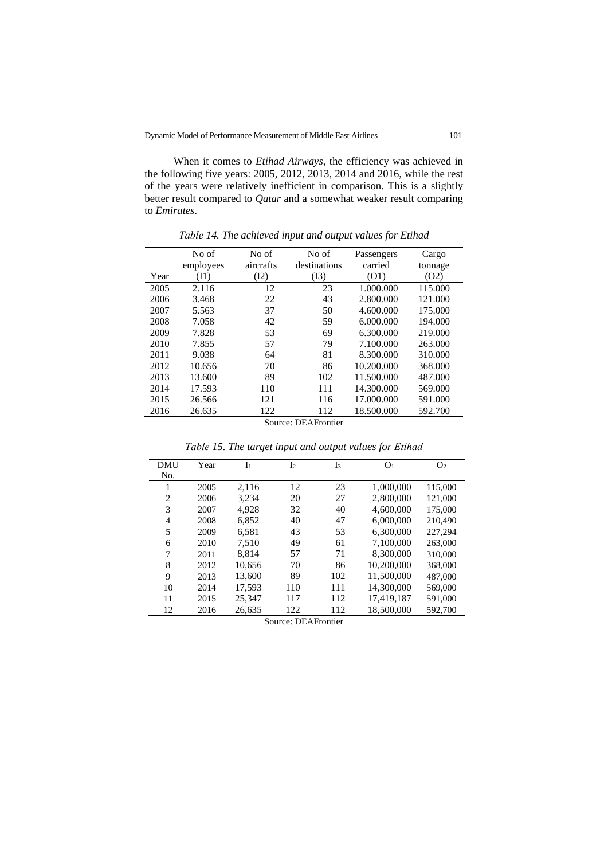When it comes to *Etihad Airways*, the efficiency was achieved in the following five years: 2005, 2012, 2013, 2014 and 2016, while the rest of the years were relatively inefficient in comparison. This is a slightly better result compared to *Qatar* and a somewhat weaker result comparing to *Emirates*.

|      | No of                      | No of     | No of        | Passengers | Cargo   |  |  |  |  |  |
|------|----------------------------|-----------|--------------|------------|---------|--|--|--|--|--|
|      | employees                  | aircrafts | destinations | carried    | tonnage |  |  |  |  |  |
| Year | (11)                       | (I2)      | (I3)         | (O1)       | (O2)    |  |  |  |  |  |
| 2005 | 2.116                      | 12        | 23           | 1.000.000  | 115.000 |  |  |  |  |  |
| 2006 | 3.468                      | 22        | 43           | 2.800.000  | 121.000 |  |  |  |  |  |
| 2007 | 5.563                      | 37        | 50           | 4.600.000  | 175.000 |  |  |  |  |  |
| 2008 | 7.058                      | 42        | 59           | 6.000.000  | 194.000 |  |  |  |  |  |
| 2009 | 7.828                      | 53        | 69           | 6.300.000  | 219.000 |  |  |  |  |  |
| 2010 | 7.855                      | 57        | 79           | 7.100.000  | 263.000 |  |  |  |  |  |
| 2011 | 9.038                      | 64        | 81           | 8.300.000  | 310.000 |  |  |  |  |  |
| 2012 | 10.656                     | 70        | 86           | 10.200.000 | 368,000 |  |  |  |  |  |
| 2013 | 13.600                     | 89        | 102          | 11.500.000 | 487.000 |  |  |  |  |  |
| 2014 | 17.593                     | 110       | 111          | 14.300.000 | 569.000 |  |  |  |  |  |
| 2015 | 26.566                     | 121       | 116          | 17.000.000 | 591.000 |  |  |  |  |  |
| 2016 | 26.635                     | 122       | 112          | 18.500.000 | 592.700 |  |  |  |  |  |
|      | $C_{\text{source}}$ , DEAE |           |              |            |         |  |  |  |  |  |

*Таble 14. The achieved input and output values for Etihad*

Source: DEAFrontier

| <b>DMU</b><br>No. | Year | I <sub>1</sub> | I <sub>2</sub> | $I_3$ | O <sub>1</sub> | O <sub>2</sub> |
|-------------------|------|----------------|----------------|-------|----------------|----------------|
|                   |      |                |                |       |                |                |
| 1                 | 2005 | 2.116          | 12             | 23    | 1,000,000      | 115,000        |
| 2                 | 2006 | 3.234          | 20             | 27    | 2,800,000      | 121,000        |
| 3                 | 2007 | 4,928          | 32             | 40    | 4,600,000      | 175,000        |
| 4                 | 2008 | 6.852          | 40             | 47    | 6.000,000      | 210,490        |
| 5                 | 2009 | 6,581          | 43             | 53    | 6,300,000      | 227.294        |
| 6                 | 2010 | 7.510          | 49             | 61    | 7.100.000      | 263,000        |
| 7                 | 2011 | 8,814          | 57             | 71    | 8,300,000      | 310,000        |
| 8                 | 2012 | 10,656         | 70             | 86    | 10.200.000     | 368,000        |
| 9                 | 2013 | 13.600         | 89             | 102   | 11.500.000     | 487,000        |
| 10                | 2014 | 17,593         | 110            | 111   | 14.300.000     | 569,000        |
| 11                | 2015 | 25,347         | 117            | 112   | 17,419,187     | 591,000        |
| 12                | 2016 | 26,635         | 122            | 112   | 18,500,000     | 592,700        |

*Таble 15. The target input and output values for Еtihad*

Source: DEAFrontier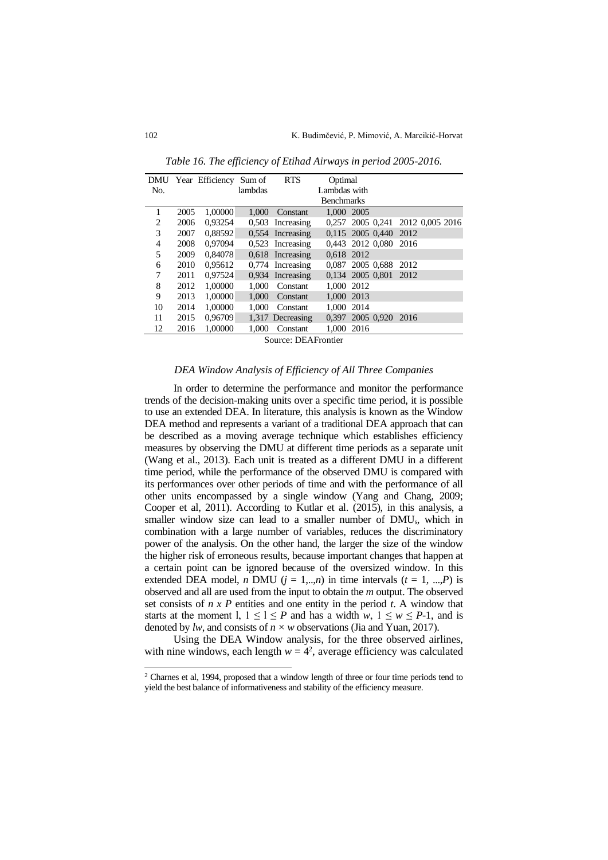|     |                            | DMU Year Efficiency Sum of |         | <b>RTS</b>         | Optimal           |                                  |      |  |  |  |
|-----|----------------------------|----------------------------|---------|--------------------|-------------------|----------------------------------|------|--|--|--|
| No. |                            |                            | lambdas |                    | Lambdas with      |                                  |      |  |  |  |
|     |                            |                            |         |                    | <b>Benchmarks</b> |                                  |      |  |  |  |
| 1   | 2005                       | 1,00000                    | 1.000   | Constant           | 1,000 2005        |                                  |      |  |  |  |
| 2   | 2006                       | 0.93254                    |         | 0.503 Increasing   |                   | 0,257 2005 0,241 2012 0,005 2016 |      |  |  |  |
| 3   | 2007                       | 0.88592                    |         | $0.554$ Increasing |                   | 0,115 2005 0,440                 | 2012 |  |  |  |
| 4   | 2008                       | 0.97094                    |         | $0.523$ Increasing |                   | 0.443 2012 0.080                 | 2016 |  |  |  |
| 5   | 2009                       | 0.84078                    |         | $0.618$ Increasing | 0.618 2012        |                                  |      |  |  |  |
| 6   | 2010                       | 0.95612                    |         | $0,774$ Increasing |                   | 0.087 2005 0.688                 | 2012 |  |  |  |
| 7   | 2011                       | 0.97524                    |         | $0.934$ Increasing |                   | 0.134 2005 0.801                 | 2012 |  |  |  |
| 8   | 2012                       | 1,00000                    | 1.000   | Constant           | 1.000 2012        |                                  |      |  |  |  |
| 9   | 2013                       | 1.00000                    | 1.000   | Constant           | 1,000 2013        |                                  |      |  |  |  |
| 10  | 2014                       | 1,00000                    | 1.000   | Constant           | 1,000 2014        |                                  |      |  |  |  |
| 11  | 2015                       | 0,96709                    |         | 1,317 Decreasing   |                   | 0,397 2005 0,920 2016            |      |  |  |  |
| 12  | 2016                       | 1,00000                    | 1.000   | Constant           | 1.000 2016        |                                  |      |  |  |  |
|     | $C_{\text{source}}$ , DEAE |                            |         |                    |                   |                                  |      |  |  |  |

*Table 16. The efficiency of Etihad Airways in period 2005-2016.*

Source: DEAFrontier

## *DEA Window Analysis of Efficiency of All Three Companies*

In order to determine the performance and monitor the performance trends of the decision-making units over a specific time period, it is possible to use an extended DEA. In literature, this analysis is known as the Window DEA method and represents a variant of a traditional DEA approach that can be described as a moving average technique which establishes efficiency measures by observing the DMU at different time periods as a separate unit (Wang et al., 2013). Each unit is treated as a different DMU in a different time period, while the performance of the observed DMU is compared with its performances over other periods of time and with the performance of all other units encompassed by a single window (Yang and Chang, 2009; Cooper et al, 2011). According to Kutlar et al. (2015), in this analysis, a smaller window size can lead to a smaller number of DMUs, which in combination with a large number of variables, reduces the discriminatory power of the analysis. On the other hand, the larger the size of the window the higher risk of erroneous results, because important changes that happen at a certain point can be ignored because of the oversized window. In this extended DEA model, *n* DMU ( $j = 1,...,n$ ) in time intervals ( $t = 1, ..., P$ ) is observed and all are used from the input to obtain the *m* output. The observed set consists of *n x P* entities and one entity in the period *t*. A window that starts at the moment l,  $1 \le l \le P$  and has a width *w*,  $1 \le w \le P-1$ , and is denoted by *lw*, and consists of  $n \times w$  observations (Jia and Yuan, 2017).

Using the DEA Window analysis, for the three observed airlines, with nine windows, each length  $w = 4^2$ , average efficiency was calculated

<sup>2</sup> Charnes et al, 1994, proposed that a window length of three or four time periods tend to yield the best balance of informativeness and stability of the efficiency measure.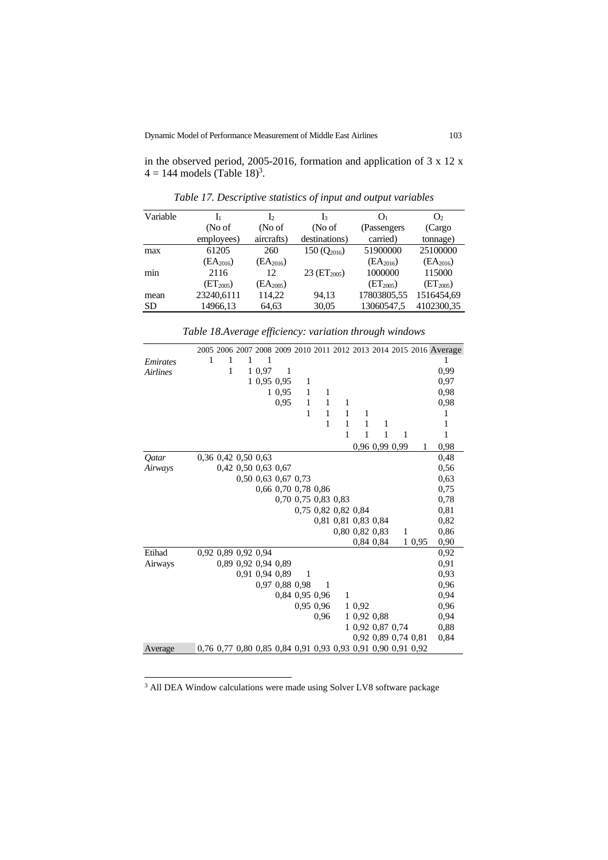in the observed period, 2005-2016, formation and application of 3 x 12 x  $4 = 144$  models (Table 18)<sup>3</sup>.

| Variable  | Ŀ                     | Ь             | l3                         | Oı                    | $\rm O_2$             |
|-----------|-----------------------|---------------|----------------------------|-----------------------|-----------------------|
|           | (No of                | (No of        | (No of                     | (Passengers)          | (Cargo                |
|           | employees)            | aircrafts)    | destinations)              | carried)              | tonnage)              |
| max       | 61205                 | 260           | $150(Q_{2016})$            | 51900000              | 25100000              |
|           | $(EA_{2016})$         | $(EA_{2016})$ |                            | $(EA_{2016})$         | $(EA_{2016})$         |
| min       | 2116                  | 12            | $23$ (ET <sub>2005</sub> ) | 1000000               | 115000                |
|           | (ET <sub>2005</sub> ) | $(EA_{2005})$ |                            | (ET <sub>2005</sub> ) | (ET <sub>2005</sub> ) |
| mean      | 23240,6111            | 114,22        | 94,13                      | 17803805,55           | 1516454,69            |
| <b>SD</b> | 14966,13              | 64,63         | 30,05                      | 13060547.5            | 4102300,35            |

*Table 17. Descriptive statistics of input and output variables*

|                     |   |                     |   |                     |                     |              |                     |                     |                                                             |           |                     |      | 2005 2006 2007 2008 2009 2010 2011 2012 2013 2014 2015 2016 Average |
|---------------------|---|---------------------|---|---------------------|---------------------|--------------|---------------------|---------------------|-------------------------------------------------------------|-----------|---------------------|------|---------------------------------------------------------------------|
| Emirates            | 1 | 1                   | 1 | 1                   |                     |              |                     |                     |                                                             |           |                     |      | 1                                                                   |
| <b>Airlines</b>     |   | 1                   |   | 1 0,97              | $\mathbf{1}$        |              |                     |                     |                                                             |           |                     |      | 0,99                                                                |
|                     |   |                     |   | 1 0,95 0,95         |                     | 1            |                     |                     |                                                             |           |                     |      | 0,97                                                                |
|                     |   |                     |   |                     | 1 0,95              | $\mathbf{1}$ | 1                   |                     |                                                             |           |                     |      | 0,98                                                                |
|                     |   |                     |   |                     | 0.95                | $\mathbf{1}$ | $\mathbf{1}$        | 1                   |                                                             |           |                     |      | 0,98                                                                |
|                     |   |                     |   |                     |                     | 1            | $\mathbf{1}$        | 1                   | 1                                                           |           |                     |      | 1                                                                   |
|                     |   |                     |   |                     |                     |              | 1                   | 1                   | 1                                                           | 1         |                     |      | 1                                                                   |
|                     |   |                     |   |                     |                     |              |                     | 1                   | 1                                                           | 1         | $\mathbf{1}$        |      | 1                                                                   |
|                     |   |                     |   |                     |                     |              |                     |                     |                                                             |           | 0,96 0,99 0,99      | 1    | 0,98                                                                |
| <i><b>Oatar</b></i> |   | 0,36 0,42 0,50 0,63 |   |                     |                     |              |                     |                     |                                                             |           |                     |      | 0.48                                                                |
| Airways             |   |                     |   | 0,42 0,50 0,63 0,67 |                     |              |                     |                     |                                                             |           |                     |      | 0,56                                                                |
|                     |   |                     |   | 0,50 0,63 0,67 0,73 |                     |              |                     |                     |                                                             |           |                     |      | 0.63                                                                |
|                     |   |                     |   |                     | 0,66 0,70 0,78 0,86 |              |                     |                     |                                                             |           |                     |      | 0,75                                                                |
|                     |   |                     |   |                     |                     |              | 0,70 0,75 0,83 0,83 |                     |                                                             |           |                     |      | 0,78                                                                |
|                     |   |                     |   |                     |                     |              |                     | 0,75 0,82 0,82 0,84 |                                                             |           |                     |      | 0.81                                                                |
|                     |   |                     |   |                     |                     |              |                     |                     | 0,81 0,81 0,83 0,84                                         |           |                     |      | 0,82                                                                |
|                     |   |                     |   |                     |                     |              |                     |                     | 0,80 0,82 0,83                                              |           | 1                   |      | 0,86                                                                |
|                     |   |                     |   |                     |                     |              |                     |                     |                                                             | 0,84 0,84 | $\mathbf{1}$        | 0,95 | 0,90                                                                |
| Etihad              |   | 0,92 0,89 0,92 0,94 |   |                     |                     |              |                     |                     |                                                             |           |                     |      | 0,92                                                                |
| Airways             |   |                     |   | 0,89 0,92 0,94 0,89 |                     |              |                     |                     |                                                             |           |                     |      | 0,91                                                                |
|                     |   |                     |   | 0,91 0,94 0,89      |                     | 1            |                     |                     |                                                             |           |                     |      | 0.93                                                                |
|                     |   |                     |   |                     | 0,97 0,88 0,98      |              | 1                   |                     |                                                             |           |                     |      | 0.96                                                                |
|                     |   |                     |   |                     |                     |              | 0,84 0,95 0,96      | $\mathbf{1}$        |                                                             |           |                     |      | 0,94                                                                |
|                     |   |                     |   |                     |                     |              | 0,95 0,96           |                     | 1 0.92                                                      |           |                     |      | 0.96                                                                |
|                     |   |                     |   |                     |                     |              | 0.96                |                     | 1 0,92 0,88                                                 |           |                     |      | 0,94                                                                |
|                     |   |                     |   |                     |                     |              |                     |                     | 1 0,92 0,87 0,74                                            |           |                     |      | 0,88                                                                |
|                     |   |                     |   |                     |                     |              |                     |                     |                                                             |           | 0.92 0.89 0.74 0.81 |      | 0,84                                                                |
| Average             |   |                     |   |                     |                     |              |                     |                     | 0,76 0,77 0,80 0,85 0,84 0,91 0,93 0,93 0,91 0,90 0,91 0,92 |           |                     |      |                                                                     |

*Table 18.Average efficiency: variation through windows*

<sup>3</sup> All DEA Window calculations were made using Solver LV8 software package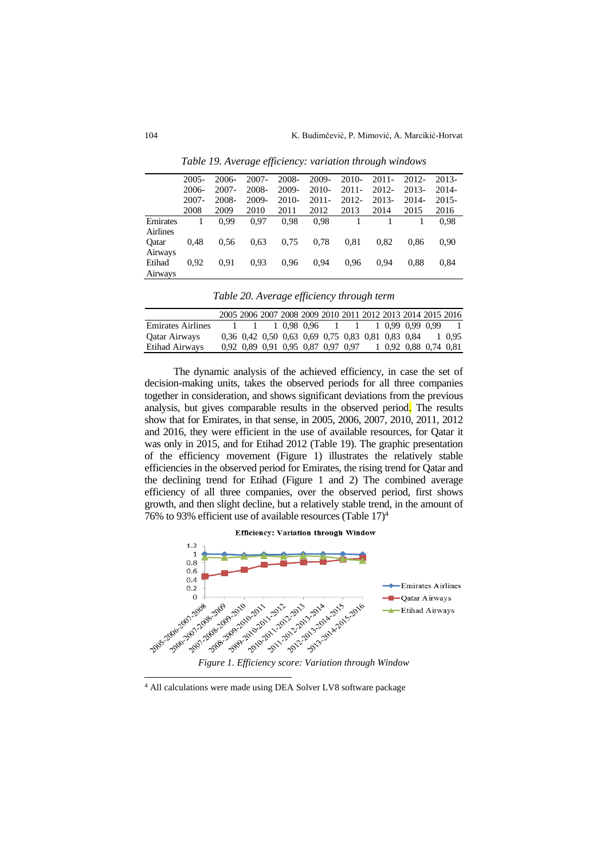|                 | 2005- | 2006- | 2007- | 2008- | 2009-    | $2010-$  | $2011 -$ | 2012- | 2013-    |
|-----------------|-------|-------|-------|-------|----------|----------|----------|-------|----------|
|                 | 2006- | 2007- | 2008- | 2009- | $2010-$  | $2011 -$ | 2012-    | 2013- | 2014-    |
|                 | 2007- | 2008- | 2009- | 2010- | $2011 -$ | 2012-    | 2013-    | 2014- | $2015 -$ |
|                 | 2008  | 2009  | 2010  | 2011  | 2012     | 2013     | 2014     | 2015  | 2016     |
| Emirates        |       | 0.99  | 0.97  | 0.98  | 0.98     |          |          |       | 0.98     |
| <b>Airlines</b> |       |       |       |       |          |          |          |       |          |
| Oatar           | 0.48  | 0.56  | 0.63  | 0.75  | 0.78     | 0.81     | 0.82     | 0.86  | 0.90     |
| Airways         |       |       |       |       |          |          |          |       |          |
| Etihad          | 0.92  | 0.91  | 0.93  | 0.96  | 0.94     | 0.96     | 0.94     | 0.88  | 0,84     |
| Airways         |       |       |       |       |          |          |          |       |          |

*Table 19. Average efficiency: variation through windows*

| Table 20. Average efficiency through term |  |
|-------------------------------------------|--|
|-------------------------------------------|--|

|  |  |  |  |                                    |  | - 1                                                                                                                                                                               |
|--|--|--|--|------------------------------------|--|-----------------------------------------------------------------------------------------------------------------------------------------------------------------------------------|
|  |  |  |  |                                    |  | 1 0.95                                                                                                                                                                            |
|  |  |  |  |                                    |  |                                                                                                                                                                                   |
|  |  |  |  | 0.92 0.89 0.91 0.95 0.87 0.97 0.97 |  | 2005 2006 2007 2008 2009 2010 2011 2012 2013 2014 2015 2016<br>1 1 1 0.98 0.96 1 1 1 0.99 0.99 0.99<br>0,36 0,42 0,50 0,63 0,69 0,75 0,83 0,81 0,83 0,84<br>1 0.92 0.88 0.74 0.81 |

The dynamic analysis of the achieved efficiency, in case the set of decision-making units, takes the observed periods for all three companies together in consideration, and shows significant deviations from the previous analysis, but gives comparable results in the observed period. The results show that for Emirates, in that sense, in 2005, 2006, 2007, 2010, 2011, 2012 and 2016, they were efficient in the use of available resources, for Qatar it was only in 2015, and for Etihad 2012 (Table 19). The graphic presentation of the efficiency movement (Figure 1) illustrates the relatively stable efficiencies in the observed period for Emirates, the rising trend for Qatar and the declining trend for Etihad (Figure 1 and 2) The combined average efficiency of all three companies, over the observed period, first shows growth, and then slight decline, but a relatively stable trend, in the amount of 76% to 93% efficient use of available resources (Table  $17)^4$ 



<sup>4</sup> All calculations were made using DEA Solver LV8 software package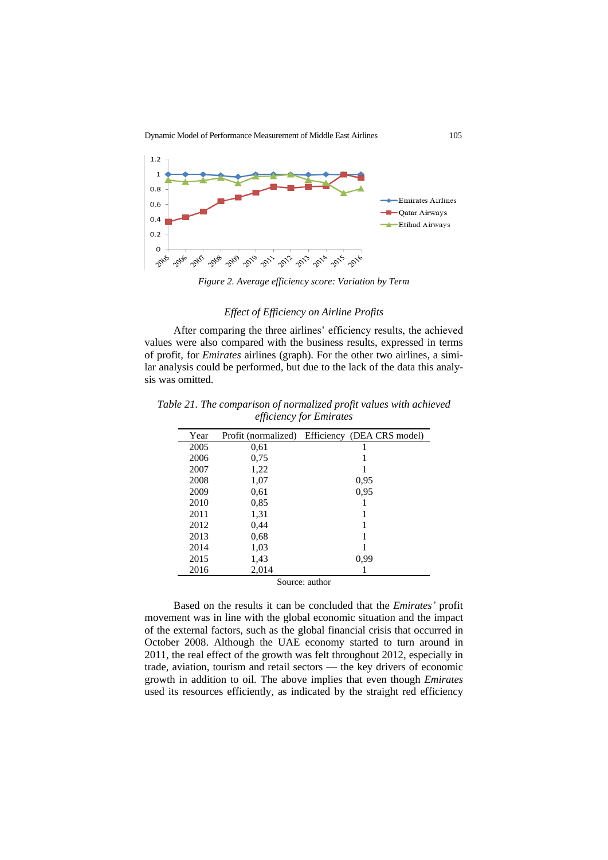Dynamic Model of Performance Measurement of Middle East Airlines 105



*Figure 2. Average efficiency score: Variation by Term*

## *Effect of Efficiency on Airline Profits*

After comparing the three airlines' efficiency results, the achieved values were also compared with the business results, expressed in terms of profit, for *Emirates* airlines (graph). For the other two airlines, a similar analysis could be performed, but due to the lack of the data this analysis was omitted.

| Year |                                                   | Profit (normalized) Efficiency (DEA CRS model) |  |  |  |  |  |  |  |
|------|---------------------------------------------------|------------------------------------------------|--|--|--|--|--|--|--|
| 2005 | 0.61                                              |                                                |  |  |  |  |  |  |  |
| 2006 | 0.75                                              |                                                |  |  |  |  |  |  |  |
| 2007 | 1,22                                              |                                                |  |  |  |  |  |  |  |
| 2008 | 1,07                                              | 0.95                                           |  |  |  |  |  |  |  |
| 2009 | 0.61                                              | 0.95                                           |  |  |  |  |  |  |  |
| 2010 | 0.85                                              |                                                |  |  |  |  |  |  |  |
| 2011 | 1,31                                              |                                                |  |  |  |  |  |  |  |
| 2012 | 0,44                                              |                                                |  |  |  |  |  |  |  |
| 2013 | 0.68                                              |                                                |  |  |  |  |  |  |  |
| 2014 | 1,03                                              |                                                |  |  |  |  |  |  |  |
| 2015 | 1,43                                              | 0.99                                           |  |  |  |  |  |  |  |
| 2016 | 2,014                                             |                                                |  |  |  |  |  |  |  |
|      | $\mathcal{C}_{\alpha}$ and $\mathcal{C}_{\alpha}$ |                                                |  |  |  |  |  |  |  |

*Table 21. The comparison of normalized profit values with achieved efficiency for Emirates*

Source: author

Based on the results it can be concluded that the *Emirates'* profit movement was in line with the global economic situation and the impact of the external factors, such as the global financial crisis that occurred in October 2008. Although the UAE economy started to turn around in 2011, the real effect of the growth was felt throughout 2012, especially in trade, aviation, tourism and retail sectors — the key drivers of economic growth in addition to oil. The above implies that even though *Emirates* used its resources efficiently, as indicated by the straight red efficiency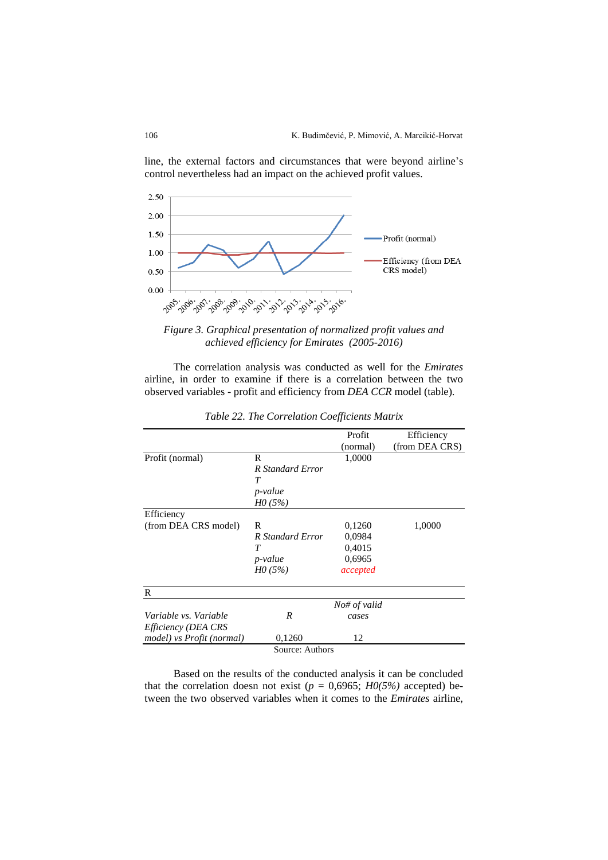line, the external factors and circumstances that were beyond airline's control nevertheless had an impact on the achieved profit values.





The correlation analysis was conducted as well for the *Emirates* airline, in order to examine if there is a correlation between the two observed variables - profit and efficiency from *DEA CCR* model (table).

|                           |                  | Profit       | Efficiency     |
|---------------------------|------------------|--------------|----------------|
|                           |                  | (normal)     | (from DEA CRS) |
| Profit (normal)           | R                | 1,0000       |                |
|                           | R Standard Error |              |                |
|                           | $\tau$           |              |                |
|                           | <i>p</i> -value  |              |                |
|                           | H0(5%)           |              |                |
| Efficiency                |                  |              |                |
| (from DEA CRS model)      | R                | 0,1260       | 1,0000         |
|                           | R Standard Error | 0,0984       |                |
|                           | T                | 0,4015       |                |
|                           | <i>p</i> -value  | 0,6965       |                |
|                           | H0(5%)           | accepted     |                |
| R                         |                  |              |                |
|                           |                  | No# of valid |                |
| Variable vs. Variable     | R                | cases        |                |
| Efficiency (DEA CRS       |                  |              |                |
| model) vs Profit (normal) | 0,1260           | 12           |                |
|                           | Source: Authors  |              |                |

*Table 22. The Correlation Coefficients Matrix*

Based on the results of the conducted analysis it can be concluded that the correlation doesn not exist ( $p = 0,6965$ ;  $H0(5%)$  accepted) between the two observed variables when it comes to the *Emirates* airline,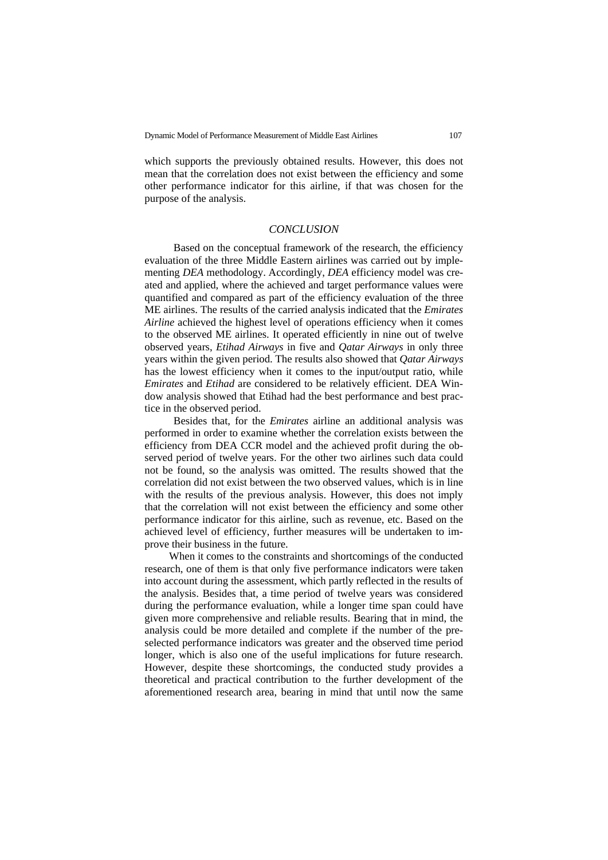which supports the previously obtained results. However, this does not mean that the correlation does not exist between the efficiency and some other performance indicator for this airline, if that was chosen for the purpose of the analysis.

## *CONCLUSION*

Based on the conceptual framework of the research, the efficiency evaluation of the three Middle Eastern airlines was carried out by implementing *DEA* methodology. Accordingly, *DEA* efficiency model was created and applied, where the achieved and target performance values were quantified and compared as part of the efficiency evaluation of the three ME airlines. The results of the carried analysis indicated that the *Emirates Airline* achieved the highest level of operations efficiency when it comes to the observed ME airlines. It operated efficiently in nine out of twelve observed years, *Etihad Airways* in five and *Qatar Airways* in only three years within the given period. The results also showed that *Qatar Airways* has the lowest efficiency when it comes to the input/output ratio, while *Emirates* and *Etihad* are considered to be relatively efficient. DEA Window analysis showed that Etihad had the best performance and best practice in the observed period.

Besides that, for the *Emirates* airline an additional analysis was performed in order to examine whether the correlation exists between the efficiency from DEA CCR model and the achieved profit during the observed period of twelve years. For the other two airlines such data could not be found, so the analysis was omitted. The results showed that the correlation did not exist between the two observed values, which is in line with the results of the previous analysis. However, this does not imply that the correlation will not exist between the efficiency and some other performance indicator for this airline, such as revenue, etc. Based on the achieved level of efficiency, further measures will be undertaken to improve their business in the future.

When it comes to the constraints and shortcomings of the conducted research, one of them is that only five performance indicators were taken into account during the assessment, which partly reflected in the results of the analysis. Besides that, a time period of twelve years was considered during the performance evaluation, while a longer time span could have given more comprehensive and reliable results. Bearing that in mind, the analysis could be more detailed and complete if the number of the preselected performance indicators was greater and the observed time period longer, which is also one of the useful implications for future research. However, despite these shortcomings, the conducted study provides a theoretical and practical contribution to the further development of the aforementioned research area, bearing in mind that until now the same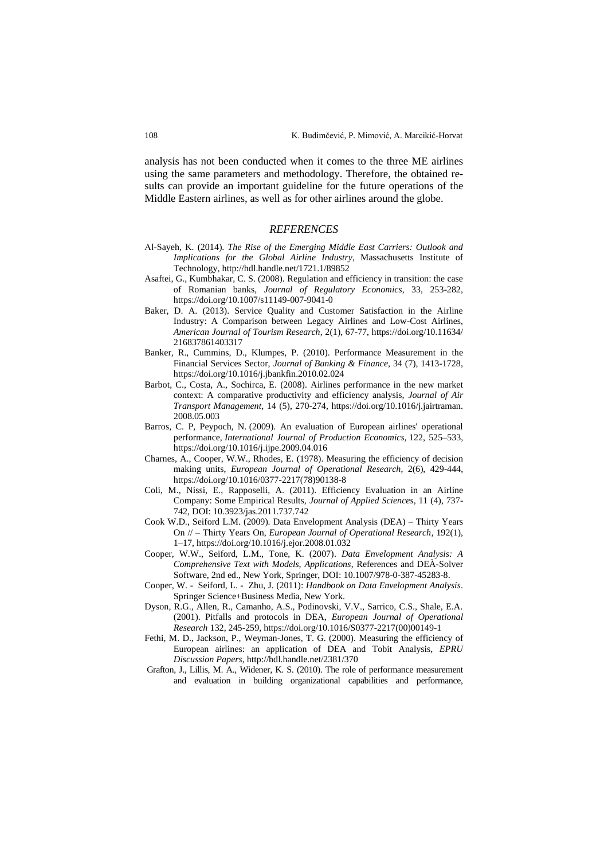analysis has not been conducted when it comes to the three ME airlines using the same parameters and methodology. Therefore, the obtained results can provide an important guideline for the future operations of the Middle Eastern airlines, as well as for other airlines around the globe.

## *REFERENCES*

- Аl-Sayeh, K. (2014). *The Rise of the Emerging Middle East Carriers: Outlook and Implications for the Global Airline Industry*, Massachusetts Institute of Technology[, http://hdl.handle.net/1721.1/89852](http://hdl.handle.net/1721.1/89852)
- Asaftei, G., Kumbhakar, C. S. (2008). Regulation and efficiency in transition: the case of Romanian banks, *Journal of Regulatory Economics*, 33, 253-282, <https://doi.org/10.1007/s11149-007-9041-0>
- Baker, D. A. (2013). Service Quality and Customer Satisfaction in the Airline Industry: A Comparison between Legacy Airlines and Low-Cost Airlines, *American Journal of Tourism Research,* 2(1), 67-77, [https://doi.org/10.11634/](https://doi.org/10.11634/%0b216837861403317) [216837861403317](https://doi.org/10.11634/%0b216837861403317)
- Banker, R., Cummins, D., Klumpes, P. (2010). Performance Measurement in the Financial Services Sector, *Journal of Banking & Finance*, 34 (7), 1413-1728, <https://doi.org/10.1016/j.jbankfin.2010.02.024>
- Barbot, C., Costa, A., Sochirca, E. (2008). Airlines performance in the new market context: A comparative productivity and efficiency analysis, *Journal of Air Transport Management*, 14 (5), 270-274, [https://doi.org/10.1016/j.jairtraman.](https://doi.org/10.1016/j.jairtraman.%0b2008.05.003) [2008.05.003](https://doi.org/10.1016/j.jairtraman.%0b2008.05.003)
- Barros, C. P, Peypoch, N. (2009). An evaluation of European airlines' operational performance, *International Journal of Production Economics,* 122, 525–533, <https://doi.org/10.1016/j.ijpe.2009.04.016>
- Charnes, A., Cooper, W.W., Rhodes, E. (1978). Measuring the efficiency of decision making units, *European Journal of Operational Research*, 2(6), 429-444, [https://doi.org/10.1016/0377-2217\(78\)90138-8](https://doi.org/10.1016/0377-2217(78)90138-8)
- Coli, M., Nissi, E., Rapposelli, A. (2011). Efficiency Evaluation in an Airline Company: Some Empirical Results, *Journal of Applied Sciences*, 11 (4), 737- 742, DOI: [10.3923/jas.2011.737.742](http://dx.doi.org/10.3923/jas.2011.737.742)
- Cook W.D., Seiford L.M. (2009). Data Envelopment Analysis (DEA) Thirty Years On // – Thirty Years On, *European Journal of Operational Research*, 192(1), 1–17[, https://doi.org/10.1016/j.ejor.2008.01.032](https://doi.org/10.1016/j.ejor.2008.01.032)
- Cooper, W.W., Seiford, L.M., Tone, K. (2007). *Data Envelopment Analysis: A Comprehensive Text with Models, Applications*, References and DEÀ-Solver Software, 2nd ed., New York, Springer, DOI: 10.1007/978-0-387-45283-8.
- Cooper, W. Seiford, L. Zhu, J. (2011): *Handbook on Data Envelopment Analysis*. Springer Science+Business Media, New York.
- Dyson, R.G., Allen, R., Camanho, A.S., Podinovski, V.V., Sarrico, C.S., Shale, E.A. (2001). Pitfalls and protocols in DEA, *European Journal of Operational Research* 132, 245-259[, https://doi.org/10.1016/S0377-2217\(00\)00149-1](https://doi.org/10.1016/S0377-2217(00)00149-1)
- Fethi, M. D., Jackson, P., Weyman-Jones, T. G. (2000). Measuring the efficiency of European airlines: an application of DEA and Tobit Analysis, *EPRU Discussion Papers*,<http://hdl.handle.net/2381/370>
- Grafton, J., Lillis, M. A., Widener, K. S. (2010). The role of performance measurement and evaluation in building organizational capabilities and performance,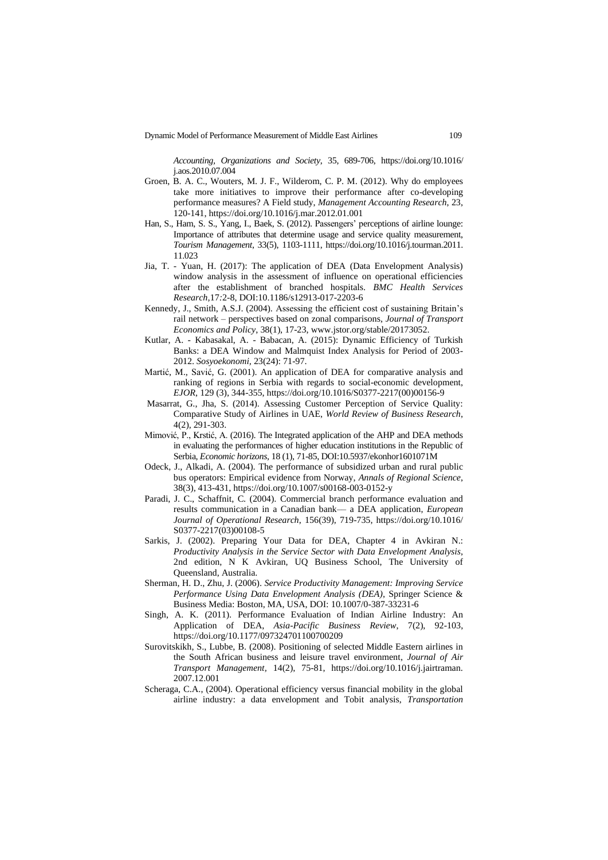Dynamic Model of Performance Measurement of Middle East Airlines 109

*Accounting, Organizations and Society*, 35, 689-706, [https://doi.org/10.1016/](https://doi.org/10.1016/%0bj.aos.2010.07.004) [j.aos.2010.07.004](https://doi.org/10.1016/%0bj.aos.2010.07.004)

- Groen, B. A. C., Wouters, M. J. F., Wilderom, C. P. M. (2012). Why do employees take more initiatives to improve their performance after co-developing performance measures? A Field study, *Management Accounting Research*, 23, 120-141[, https://doi.org/10.1016/j.mar.2012.01.001](https://doi.org/10.1016/j.mar.2012.01.001)
- Han, S., Ham, S. S., Yang, I., Baek, S. (2012). Passengers' perceptions of airline lounge: Importance of attributes that determine usage and service quality measurement, *Tourism Management*, 33(5), 1103-1111, [https://doi.org/10.1016/j.tourman.2011.](https://doi.org/10.1016/j.tourman.2011.%0b11.023) [11.023](https://doi.org/10.1016/j.tourman.2011.%0b11.023)
- Jia, T. Yuan, H. (2017): The application of DEA (Data Envelopment Analysis) window analysis in the assessment of influence on operational efficiencies after the establishment of branched hospitals. *BMC Health Services Research,*17*:*2-8, DOI[:10.1186/s12913-017-2203-6](https://doi.org/10.1186/s12913-017-2203-6)
- Kennedy, J., Smith, A.S.J. (2004). Assessing the efficient cost of sustaining Britain's rail network – perspectives based on zonal comparisons, *Journal of Transport Economics and Policy*, 38(1), 17-23[, www.jstor.org/stable/20173052.](http://www.jstor.org/stable/20173052)
- Kutlar, A. Kabasakal, A. Babacan, A. (2015): Dynamic Efficiency of Turkish Banks: a DEA Window and Malmquist Index Analysis for Period of 2003- 2012. *Sosyoekonomi,* 23(24): 71-97.
- Martić, M., Savić, G. (2001). An application of DEA for comparative analysis and ranking of regions in Serbia with regards to social-economic development, *EJOR*, 129 (3), 344-355[, https://doi.org/10.1016/S0377-2217\(00\)00156-9](https://doi.org/10.1016/S0377-2217(00)00156-9)
- Masarrat, G., Jha, S. (2014). Assessing Customer Perception of Service Quality: Comparative Study of Airlines in UAE, *World Review of Business Research*, 4(2), 291-303.
- Mimović, P., Krstić, A. (2016). The Integrated application of the AHP and DEA methods in evaluating the performances of higher education institutions in the Republic of Serbia, *Economic horizons,* 18 (1), 71-85, DOI:10.5937/ekonhor1601071M
- Odeck, J., Alkadi, A. (2004). The performance of subsidized urban and rural public bus operators: Empirical evidence from Norway, *Annals of Regional Science*, 38(3), 413-431[, https://doi.org/10.1007/s00168-003-0152-y](https://doi.org/10.1007/s00168-003-0152-y)
- Paradi, J. C., Schaffnit, C. (2004). Commercial branch performance evaluation and results communication in a Canadian bank–– a DEA application, *European Journal of Operational Research*, 156(39), 719-735, [https://doi.org/10.1016/](https://doi.org/10.1016/%0bS0377-2217(03)00108-5) [S0377-2217\(03\)00108-5](https://doi.org/10.1016/%0bS0377-2217(03)00108-5)
- Sarkis, J. (2002). Preparing Your Data for DEA, Chapter 4 in Avkiran N.: *Productivity Analysis in the Service Sector with Data Envelopment Analysis*, 2nd edition, N K Avkiran, UQ Business School, The University of Queensland, Australia.
- Sherman, H. D., Zhu, J. (2006). *Service Productivity Management: Improving Service Performance Using Data Envelopment Analysis (DEA)*, Springer Science & Business Media: Boston, MA, USA, DOI: 10.1007/0-387-33231-6
- Singh, A. K. (2011). Performance Evaluation of Indian Airline Industry: An Application of DEA, *Asia-Pacific Business Review*, 7(2), 92-103, [https://doi.org/10.1177/097324701100700209](https://doi.org/10.1177%2F097324701100700209)
- Surovitskikh, S., Lubbe, B. (2008). Positioning of selected Middle Eastern airlines in the South African business and leisure travel environment, *[Journal of Air](http://econpapers.repec.org/article/eeejaitra/)  [Transport Management,](http://econpapers.repec.org/article/eeejaitra/)* 14(2), 75-81, [https://doi.org/10.1016/j.jairtraman.](https://doi.org/10.1016/j.jairtraman.%0b2007.12.001) [2007.12.001](https://doi.org/10.1016/j.jairtraman.%0b2007.12.001)
- Scheraga, C.A., (2004). Operational efficiency versus financial mobility in the global airline industry: a data envelopment and Tobit analysis, *Transportation*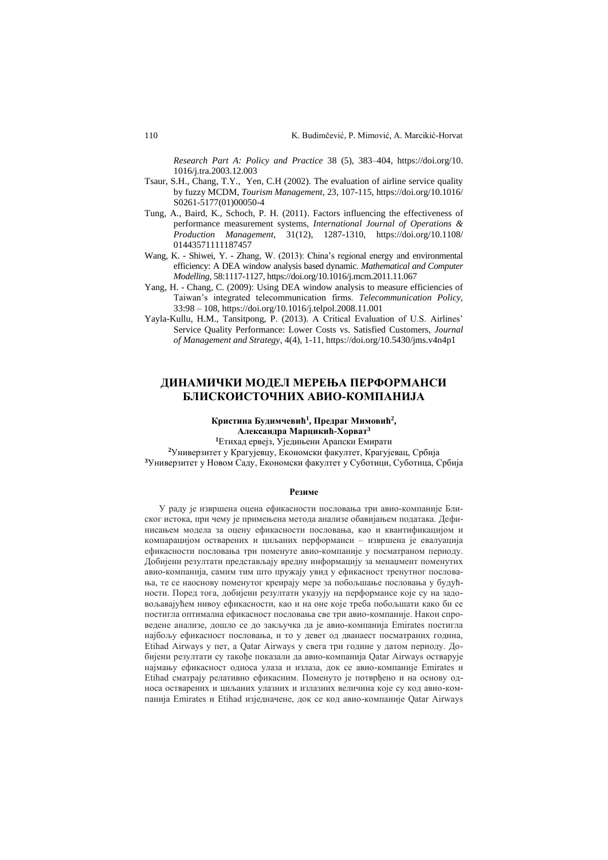*Research Part A: Policy and Practice* 38 (5), 383–404, [https://doi.org/10.](https://doi.org/10.%0b1016/j.tra.2003.12.003) [1016/j.tra.2003.12.003](https://doi.org/10.%0b1016/j.tra.2003.12.003)

- Tsaur, S.H., Chang, T.Y., Yen, C.H (2002). The evaluation of airline service quality by fuzzy MCDM, *Tourism Management*, 23, 107-115[, https://doi.org/10.1016/](https://doi.org/10.1016/%0bS0261-5177(01)00050-4) [S0261-5177\(01\)00050-4](https://doi.org/10.1016/%0bS0261-5177(01)00050-4)
- Tung, A., Baird, K., Schoch, P. H. (2011). Factors influencing the effectiveness of performance measurement systems, *International Journal of Operations & Production Management*, 31(12), 1287-1310, [https://doi.org/10.1108/](https://doi.org/10.1108/%0b01443571111187457) [01443571111187457](https://doi.org/10.1108/%0b01443571111187457)
- Wang, K. Shiwei, Y. Zhang, W. (2013): China's regional energy and environmental efficiency: A DEA window analysis based dynamic. *Mathematical and Computer Modelling,* 58:1117-1127[, https://doi.org/10.1016/j.mcm.2011.11.067](https://doi.org/10.1016/j.mcm.2011.11.067)
- Yang, H. Chang, C. (2009): Using DEA window analysis to measure efficiencies of Taiwan's integrated telecommunication firms. *Telecommunication Policy,*  33:98 – 108[, https://doi.org/10.1016/j.telpol.2008.11.001](https://doi.org/10.1016/j.telpol.2008.11.001)
- Yayla-Kullu, H.M., Tansitpong, P. (2013). A Critical Evaluation of U.S. Airlines' Service Quality Performance: Lower Costs vs. Satisfied Customers, *Journal of Management and Strategy*, 4(4), 1-11[, https://doi.org/10.5430/jms.v4n4p1](https://doi.org/10.5430/jms.v4n4p1)

# **ДИНАМИЧКИ МОДЕЛ МЕРЕЊА ПЕРФОРМАНСИ БЛИСКОИСТОЧНИХ АВИО-КОМПАНИЈА**

#### **Кристина Будимчевић<sup>1</sup> , Предраг Мимовић<sup>2</sup> , Александра Марцикић-Хорват<sup>3</sup>**

**<sup>1</sup>**Етихад ервејз, Уједињени Арапски Емирати

**<sup>2</sup>**Универзитет у Крагујевцу, Економски факултет, Крагујевац, Србија **<sup>3</sup>**Универзитет у Новом Саду, Економски факултет у Суботици, Суботица, Србија

#### **Резиме**

У раду је извршена оцена ефикасности пословања три авио-компаније Блиског истока, при чему је примењена метода анализе обавијањем података. Дефинисањем модела за оцену ефикасности пословања, као и квантификацијом и компарацијом остварених и циљаних перформанси – извршена је евалуација ефикасности пословања три поменуте авио-компаније у посматраном периоду. Добијени резултати представљају вредну информацију за менаџмент поменутих авио-компанија, самим тим што пружају увид у ефикасност тренутног пословања, те се наоснову поменутог креирају мере за побољшање пословања у будућности. Поред тога, добијени резултати указују на перформансе које су на задовољавајућем нивоу ефикасности, као и на оне које треба побољшати како би се постигла оптимална ефикасност пословања све три авио-компаније. Након спроведене анализе, дошло се до закључка да је авио-компанија Emirates постигла најбољу ефикасност пословања, и то у девет од дванаест посматраних година, Etihad Airways у пет, а Qatar Airways у свега три године у датом периоду. Добијени резултати су такође показали да авио-компанија Qatar Airways остварује најмању ефикасност односа улаза и излаза, док се авио-компаније Emirates и Etihad сматрају релативно ефикасним. Поменуто је потврђено и на основу односа остварених и циљаних улазних и излазних величина које су код авио-компанија Emirates и Etihad изједначене, док се код авио-компаније Qatar Airways